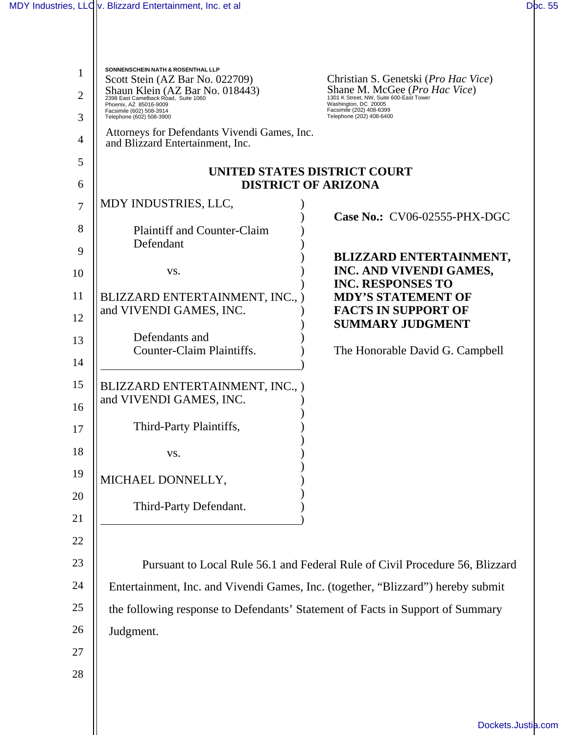$\parallel$ 

| 1              | <b>SONNENSCHEIN NATH &amp; ROSENTHAL LLP</b><br>Scott Stein (AZ Bar No. 022709)                              | Christian S. Genetski (Pro Hac Vice)                                                                      |  |
|----------------|--------------------------------------------------------------------------------------------------------------|-----------------------------------------------------------------------------------------------------------|--|
| $\overline{2}$ | Shaun Klein (AZ Bar No. 018443)<br>2398 East Camelback Road, Suite 1060<br>Phoenix, AZ 85016-9009            | Shane M. McGee ( <i>Pro Hac Vice</i> )<br>1301 K Street, NW, Suite 600-East Tower<br>Washington, DC 20005 |  |
| 3              | Facsimile (202) 408-6399<br>Facsimile (602) 508-3914<br>Telephone (202) 408-6400<br>Telephone (602) 508-3900 |                                                                                                           |  |
| 4              | Attorneys for Defendants Vivendi Games, Inc.<br>and Blizzard Entertainment, Inc.                             |                                                                                                           |  |
| 5              | UNITED STATES DISTRICT COURT                                                                                 |                                                                                                           |  |
| 6              | <b>DISTRICT OF ARIZONA</b>                                                                                   |                                                                                                           |  |
| 7              | MDY INDUSTRIES, LLC,                                                                                         |                                                                                                           |  |
| 8              | <b>Plaintiff and Counter-Claim</b>                                                                           | Case No.: CV06-02555-PHX-DGC                                                                              |  |
| 9              | Defendant                                                                                                    |                                                                                                           |  |
| 10             | VS.                                                                                                          | <b>BLIZZARD ENTERTAINMENT,</b><br>INC. AND VIVENDI GAMES,<br><b>INC. RESPONSES TO</b>                     |  |
| 11             | BLIZZARD ENTERTAINMENT, INC., )                                                                              | <b>MDY'S STATEMENT OF</b>                                                                                 |  |
| 12             | and VIVENDI GAMES, INC.                                                                                      | <b>FACTS IN SUPPORT OF</b><br><b>SUMMARY JUDGMENT</b>                                                     |  |
| 13             | Defendants and                                                                                               |                                                                                                           |  |
| 14             | <b>Counter-Claim Plaintiffs.</b>                                                                             | The Honorable David G. Campbell                                                                           |  |
| 15<br>16       | BLIZZARD ENTERTAINMENT, INC., )<br>and VIVENDI GAMES, INC.                                                   |                                                                                                           |  |
| 17             | Third-Party Plaintiffs,                                                                                      |                                                                                                           |  |
| 18             | VS.                                                                                                          |                                                                                                           |  |
| 19             | MICHAEL DONNELLY,                                                                                            |                                                                                                           |  |
| 20<br>21       | Third-Party Defendant.                                                                                       |                                                                                                           |  |
| 22<br>23       |                                                                                                              | Pursuant to Local Rule 56.1 and Federal Rule of Civil Procedure 56, Blizzard                              |  |
| 24             | Entertainment, Inc. and Vivendi Games, Inc. (together, "Blizzard") hereby submit                             |                                                                                                           |  |
| 25             | the following response to Defendants' Statement of Facts in Support of Summary                               |                                                                                                           |  |
| 26             | Judgment.                                                                                                    |                                                                                                           |  |
| 27             |                                                                                                              |                                                                                                           |  |
| 28             |                                                                                                              |                                                                                                           |  |
|                |                                                                                                              |                                                                                                           |  |
|                |                                                                                                              |                                                                                                           |  |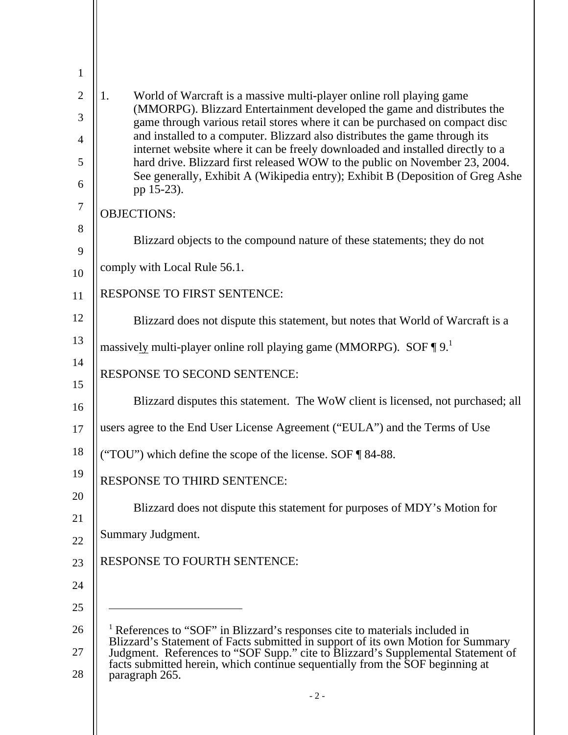| $\mathbf{1}$   |                                                                                                                                                                                                                                                        |
|----------------|--------------------------------------------------------------------------------------------------------------------------------------------------------------------------------------------------------------------------------------------------------|
| $\overline{2}$ | World of Warcraft is a massive multi-player online roll playing game<br>1.<br>(MMORPG). Blizzard Entertainment developed the game and distributes the                                                                                                  |
| 3              | game through various retail stores where it can be purchased on compact disc                                                                                                                                                                           |
| $\overline{4}$ | and installed to a computer. Blizzard also distributes the game through its<br>internet website where it can be freely downloaded and installed directly to a                                                                                          |
| 5<br>6         | hard drive. Blizzard first released WOW to the public on November 23, 2004.<br>See generally, Exhibit A (Wikipedia entry); Exhibit B (Deposition of Greg Ashe<br>pp 15-23).                                                                            |
| $\tau$         | <b>OBJECTIONS:</b>                                                                                                                                                                                                                                     |
| 8<br>9         | Blizzard objects to the compound nature of these statements; they do not                                                                                                                                                                               |
| 10             | comply with Local Rule 56.1.                                                                                                                                                                                                                           |
| 11             | <b>RESPONSE TO FIRST SENTENCE:</b>                                                                                                                                                                                                                     |
| 12             | Blizzard does not dispute this statement, but notes that World of Warcraft is a                                                                                                                                                                        |
| 13             | massively multi-player online roll playing game (MMORPG). SOF $\P 9$ .                                                                                                                                                                                 |
| 14<br>15       | RESPONSE TO SECOND SENTENCE:                                                                                                                                                                                                                           |
| 16             | Blizzard disputes this statement. The WoW client is licensed, not purchased; all                                                                                                                                                                       |
| 17             | users agree to the End User License Agreement ("EULA") and the Terms of Use                                                                                                                                                                            |
| 18             | ("TOU") which define the scope of the license. SOF ¶ 84-88.                                                                                                                                                                                            |
| 19             | <b>RESPONSE TO THIRD SENTENCE:</b>                                                                                                                                                                                                                     |
| 20             | Blizzard does not dispute this statement for purposes of MDY's Motion for                                                                                                                                                                              |
| 21             | Summary Judgment.                                                                                                                                                                                                                                      |
| 22             |                                                                                                                                                                                                                                                        |
| 23             | <b>RESPONSE TO FOURTH SENTENCE:</b>                                                                                                                                                                                                                    |
| 24             |                                                                                                                                                                                                                                                        |
| 25             |                                                                                                                                                                                                                                                        |
| 26             | <sup>1</sup> References to "SOF" in Blizzard's responses cite to materials included in                                                                                                                                                                 |
| 27<br>28       | Blizzard's Statement of Facts submitted in support of its own Motion for Summary<br>Judgment. References to "SOF Supp." cite to Blizzard's Supplemental Statement of<br>facts submitted herein, which continue sequentially from the<br>paragraph 265. |
|                | $-2-$                                                                                                                                                                                                                                                  |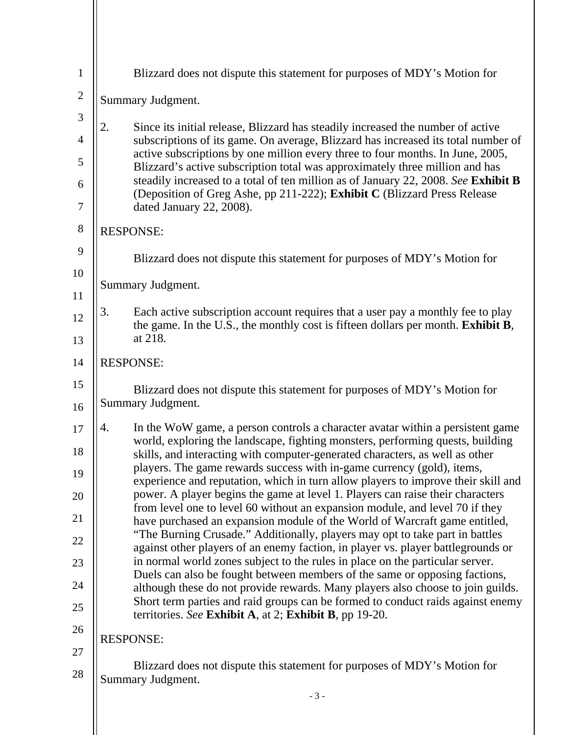| $\mathbf{1}$   | Blizzard does not dispute this statement for purposes of MDY's Motion for                                                                                                 |  |
|----------------|---------------------------------------------------------------------------------------------------------------------------------------------------------------------------|--|
| $\overline{2}$ | Summary Judgment.                                                                                                                                                         |  |
| 3              | 2.<br>Since its initial release, Blizzard has steadily increased the number of active                                                                                     |  |
| $\overline{4}$ | subscriptions of its game. On average, Blizzard has increased its total number of<br>active subscriptions by one million every three to four months. In June, 2005,       |  |
| 5              | Blizzard's active subscription total was approximately three million and has<br>steadily increased to a total of ten million as of January 22, 2008. See Exhibit B        |  |
| 6<br>$\tau$    | (Deposition of Greg Ashe, pp 211-222); Exhibit C (Blizzard Press Release<br>dated January 22, 2008).                                                                      |  |
| $8\phantom{1}$ | <b>RESPONSE:</b>                                                                                                                                                          |  |
| 9              | Blizzard does not dispute this statement for purposes of MDY's Motion for                                                                                                 |  |
| 10             |                                                                                                                                                                           |  |
| 11             | Summary Judgment.                                                                                                                                                         |  |
| 12             | 3.<br>Each active subscription account requires that a user pay a monthly fee to play<br>the game. In the U.S., the monthly cost is fifteen dollars per month. Exhibit B, |  |
| 13             | at 218.                                                                                                                                                                   |  |
| 14             | <b>RESPONSE:</b>                                                                                                                                                          |  |
| 15             | Blizzard does not dispute this statement for purposes of MDY's Motion for                                                                                                 |  |
| 16             | Summary Judgment.                                                                                                                                                         |  |
| 17             | In the WoW game, a person controls a character avatar within a persistent game<br>4.<br>world, exploring the landscape, fighting monsters, performing quests, building    |  |
| 18<br>19       | skills, and interacting with computer-generated characters, as well as other<br>players. The game rewards success with in-game currency (gold), items,                    |  |
| 20             | experience and reputation, which in turn allow players to improve their skill and<br>power. A player begins the game at level 1. Players can raise their characters       |  |
| 21             | from level one to level 60 without an expansion module, and level 70 if they<br>have purchased an expansion module of the World of Warcraft game entitled,                |  |
| 22             | "The Burning Crusade." Additionally, players may opt to take part in battles                                                                                              |  |
| 23             | against other players of an enemy faction, in player vs. player battlegrounds or<br>in normal world zones subject to the rules in place on the particular server.         |  |
| 24             | Duels can also be fought between members of the same or opposing factions,<br>although these do not provide rewards. Many players also choose to join guilds.             |  |
| 25             | Short term parties and raid groups can be formed to conduct raids against enemy<br>territories. See Exhibit A, at 2; Exhibit B, pp 19-20.                                 |  |
| 26             | <b>RESPONSE:</b>                                                                                                                                                          |  |
| 27             |                                                                                                                                                                           |  |
| 28             | Blizzard does not dispute this statement for purposes of MDY's Motion for<br><b>Summary Judgment.</b>                                                                     |  |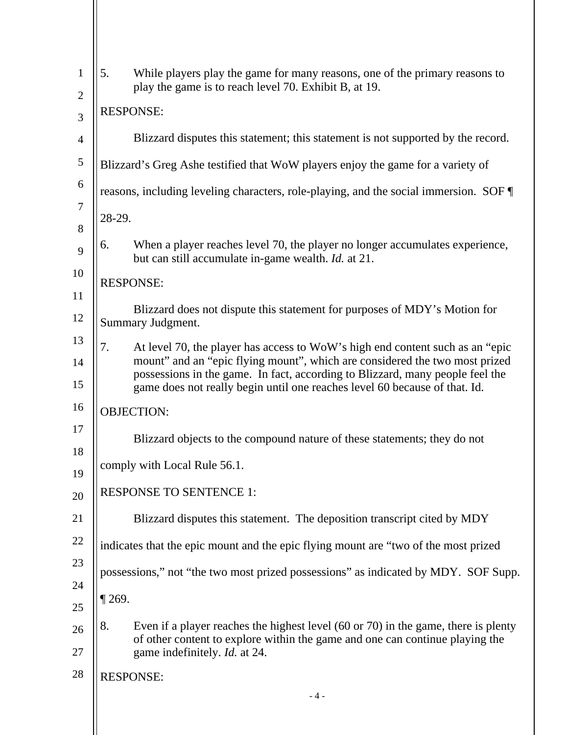| $\mathbf{1}$   | 5.                                                                                  | While players play the game for many reasons, one of the primary reasons to<br>play the game is to reach level 70. Exhibit B, at 19.                         |  |
|----------------|-------------------------------------------------------------------------------------|--------------------------------------------------------------------------------------------------------------------------------------------------------------|--|
| $\overline{2}$ | <b>RESPONSE:</b>                                                                    |                                                                                                                                                              |  |
| 3              |                                                                                     |                                                                                                                                                              |  |
| 4              |                                                                                     | Blizzard disputes this statement; this statement is not supported by the record.                                                                             |  |
| $\mathfrak s$  |                                                                                     | Blizzard's Greg Ashe testified that WoW players enjoy the game for a variety of                                                                              |  |
| 6              | reasons, including leveling characters, role-playing, and the social immersion. SOF |                                                                                                                                                              |  |
| $\tau$<br>8    | 28-29.                                                                              |                                                                                                                                                              |  |
| 9              | 6.                                                                                  | When a player reaches level 70, the player no longer accumulates experience,<br>but can still accumulate in-game wealth. Id. at 21.                          |  |
| 10<br>11       |                                                                                     | <b>RESPONSE:</b>                                                                                                                                             |  |
| 12             |                                                                                     | Blizzard does not dispute this statement for purposes of MDY's Motion for<br><b>Summary Judgment.</b>                                                        |  |
| 13             | 7.                                                                                  | At level 70, the player has access to WoW's high end content such as an "epic<br>mount" and an "epic flying mount", which are considered the two most prized |  |
| 14<br>15       |                                                                                     | possessions in the game. In fact, according to Blizzard, many people feel the<br>game does not really begin until one reaches level 60 because of that. Id.  |  |
| 16             | <b>OBJECTION:</b>                                                                   |                                                                                                                                                              |  |
| 17             |                                                                                     | Blizzard objects to the compound nature of these statements; they do not                                                                                     |  |
| 18<br>19       | comply with Local Rule 56.1.                                                        |                                                                                                                                                              |  |
| 20             | <b>RESPONSE TO SENTENCE 1:</b>                                                      |                                                                                                                                                              |  |
| 21             |                                                                                     | Blizzard disputes this statement. The deposition transcript cited by MDY                                                                                     |  |
| 22             |                                                                                     | indicates that the epic mount and the epic flying mount are "two of the most prized                                                                          |  |
| 23             |                                                                                     | possessions," not "the two most prized possessions" as indicated by MDY. SOF Supp.                                                                           |  |
| 24<br>25       | $\P$ 269.                                                                           |                                                                                                                                                              |  |
| 26             | 8.                                                                                  | Even if a player reaches the highest level $(60 \text{ or } 70)$ in the game, there is plenty                                                                |  |
| 27             |                                                                                     | of other content to explore within the game and one can continue playing the<br>game indefinitely. <i>Id.</i> at 24.                                         |  |
| 28             |                                                                                     | <b>RESPONSE:</b>                                                                                                                                             |  |
|                |                                                                                     | $-4-$                                                                                                                                                        |  |
|                |                                                                                     |                                                                                                                                                              |  |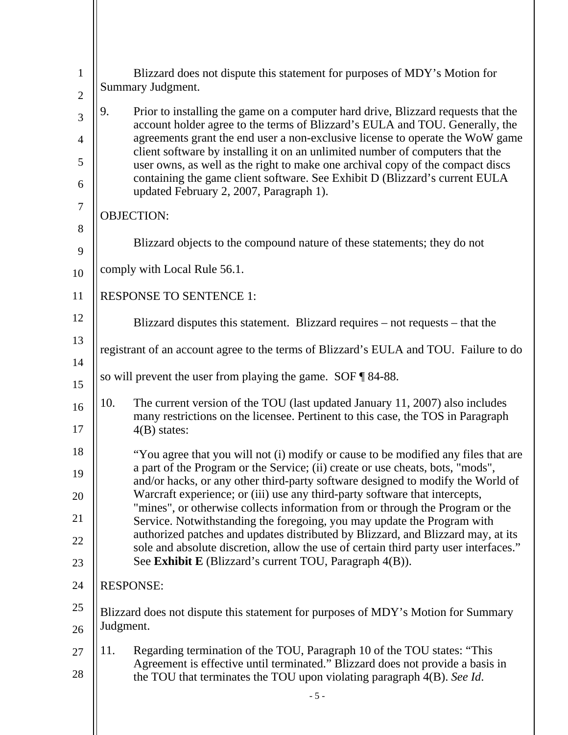| $\mathbf{1}$            | Blizzard does not dispute this statement for purposes of MDY's Motion for                                                                                                |  |  |
|-------------------------|--------------------------------------------------------------------------------------------------------------------------------------------------------------------------|--|--|
| $\mathbf{2}$            | Summary Judgment.                                                                                                                                                        |  |  |
| 3                       | 9.<br>Prior to installing the game on a computer hard drive, Blizzard requests that the<br>account holder agree to the terms of Blizzard's EULA and TOU. Generally, the  |  |  |
| $\overline{4}$          | agreements grant the end user a non-exclusive license to operate the WoW game                                                                                            |  |  |
| 5                       | client software by installing it on an unlimited number of computers that the<br>user owns, as well as the right to make one archival copy of the compact discs          |  |  |
| 6                       | containing the game client software. See Exhibit D (Blizzard's current EULA<br>updated February 2, 2007, Paragraph 1).                                                   |  |  |
| $\overline{7}$<br>$8\,$ | <b>OBJECTION:</b>                                                                                                                                                        |  |  |
| 9                       | Blizzard objects to the compound nature of these statements; they do not                                                                                                 |  |  |
| 10                      | comply with Local Rule 56.1.                                                                                                                                             |  |  |
| 11                      | <b>RESPONSE TO SENTENCE 1:</b>                                                                                                                                           |  |  |
| 12                      | Blizzard disputes this statement. Blizzard requires – not requests – that the                                                                                            |  |  |
| 13                      | registrant of an account agree to the terms of Blizzard's EULA and TOU. Failure to do                                                                                    |  |  |
| 14<br>15                | so will prevent the user from playing the game. $SOF \P 84-88$ .                                                                                                         |  |  |
|                         | 10.<br>The current version of the TOU (last updated January 11, 2007) also includes                                                                                      |  |  |
| 16<br>17                | many restrictions on the licensee. Pertinent to this case, the TOS in Paragraph<br>$4(B)$ states:                                                                        |  |  |
| 18                      | "You agree that you will not (i) modify or cause to be modified any files that are                                                                                       |  |  |
| 19                      | a part of the Program or the Service; (ii) create or use cheats, bots, "mods",<br>and/or hacks, or any other third-party software designed to modify the World of        |  |  |
| 20                      | Warcraft experience; or (iii) use any third-party software that intercepts,                                                                                              |  |  |
| 21                      | "mines", or otherwise collects information from or through the Program or the<br>Service. Notwithstanding the foregoing, you may update the Program with                 |  |  |
| 22                      | authorized patches and updates distributed by Blizzard, and Blizzard may, at its<br>sole and absolute discretion, allow the use of certain third party user interfaces." |  |  |
| 23                      | See Exhibit E (Blizzard's current TOU, Paragraph 4(B)).                                                                                                                  |  |  |
| 24                      | <b>RESPONSE:</b>                                                                                                                                                         |  |  |
| 25                      | Blizzard does not dispute this statement for purposes of MDY's Motion for Summary                                                                                        |  |  |
| 26                      | Judgment.                                                                                                                                                                |  |  |
| 27                      | Regarding termination of the TOU, Paragraph 10 of the TOU states: "This<br>11.<br>Agreement is effective until terminated." Blizzard does not provide a basis in         |  |  |
| 28                      | the TOU that terminates the TOU upon violating paragraph 4(B). See Id.                                                                                                   |  |  |
|                         | $-5 -$                                                                                                                                                                   |  |  |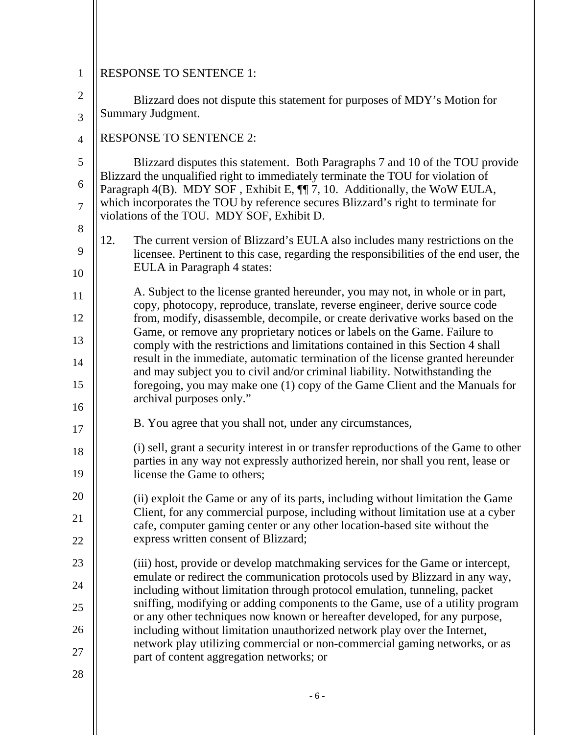| $\mathbf{1}$   | <b>RESPONSE TO SENTENCE 1:</b>                                                                                                                                                                        |
|----------------|-------------------------------------------------------------------------------------------------------------------------------------------------------------------------------------------------------|
| $\overline{2}$ | Blizzard does not dispute this statement for purposes of MDY's Motion for                                                                                                                             |
| $\overline{3}$ | Summary Judgment.                                                                                                                                                                                     |
| $\overline{4}$ | <b>RESPONSE TO SENTENCE 2:</b>                                                                                                                                                                        |
| 5              | Blizzard disputes this statement. Both Paragraphs 7 and 10 of the TOU provide                                                                                                                         |
| 6              | Blizzard the unqualified right to immediately terminate the TOU for violation of<br>Paragraph 4(B). MDY SOF, Exhibit E, $\P$ 7, 10. Additionally, the WoW EULA,                                       |
| $\overline{7}$ | which incorporates the TOU by reference secures Blizzard's right to terminate for<br>violations of the TOU. MDY SOF, Exhibit D.                                                                       |
| 8              | 12.                                                                                                                                                                                                   |
| 9              | The current version of Blizzard's EULA also includes many restrictions on the<br>licensee. Pertinent to this case, regarding the responsibilities of the end user, the<br>EULA in Paragraph 4 states: |
| 10             |                                                                                                                                                                                                       |
| 11             | A. Subject to the license granted hereunder, you may not, in whole or in part,<br>copy, photocopy, reproduce, translate, reverse engineer, derive source code                                         |
| 12             | from, modify, disassemble, decompile, or create derivative works based on the<br>Game, or remove any proprietary notices or labels on the Game. Failure to                                            |
| 13             | comply with the restrictions and limitations contained in this Section 4 shall                                                                                                                        |
| 14             | result in the immediate, automatic termination of the license granted hereunder<br>and may subject you to civil and/or criminal liability. Notwithstanding the                                        |
| 15             | foregoing, you may make one (1) copy of the Game Client and the Manuals for<br>archival purposes only."                                                                                               |
| 16             |                                                                                                                                                                                                       |
| 17             | B. You agree that you shall not, under any circumstances,                                                                                                                                             |
| 18             | (i) sell, grant a security interest in or transfer reproductions of the Game to other<br>parties in any way not expressly authorized herein, nor shall you rent, lease or                             |
| 19             | license the Game to others;                                                                                                                                                                           |
| 20             | (ii) exploit the Game or any of its parts, including without limitation the Game                                                                                                                      |
| 21             | Client, for any commercial purpose, including without limitation use at a cyber<br>cafe, computer gaming center or any other location-based site without the                                          |
| 22             | express written consent of Blizzard;                                                                                                                                                                  |
| 23             | (iii) host, provide or develop matchmaking services for the Game or intercept,                                                                                                                        |
| 24             | emulate or redirect the communication protocols used by Blizzard in any way,<br>including without limitation through protocol emulation, tunneling, packet                                            |
| 25             | sniffing, modifying or adding components to the Game, use of a utility program<br>or any other techniques now known or hereafter developed, for any purpose,                                          |
| 26             | including without limitation unauthorized network play over the Internet,                                                                                                                             |
| 27             | network play utilizing commercial or non-commercial gaming networks, or as<br>part of content aggregation networks; or                                                                                |
| 28             |                                                                                                                                                                                                       |
|                | $-6-$                                                                                                                                                                                                 |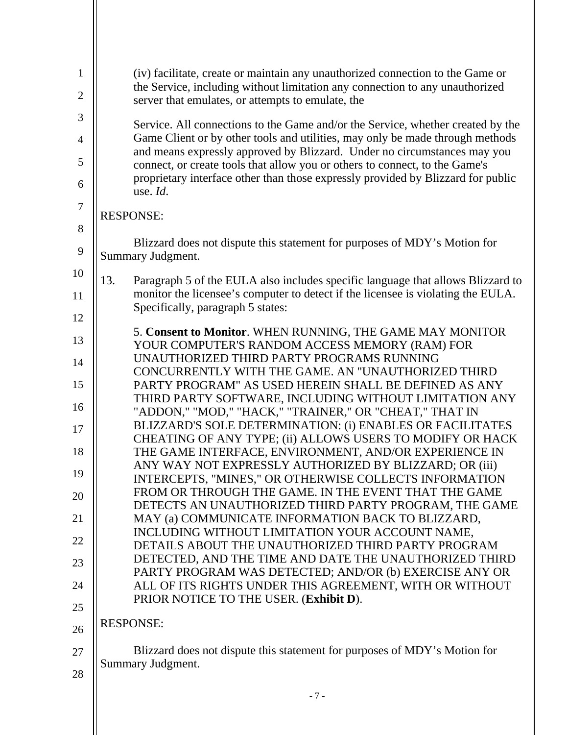| 1              | (iv) facilitate, create or maintain any unauthorized connection to the Game or                                                                                                                                  |
|----------------|-----------------------------------------------------------------------------------------------------------------------------------------------------------------------------------------------------------------|
| $\overline{c}$ | the Service, including without limitation any connection to any unauthorized<br>server that emulates, or attempts to emulate, the                                                                               |
| 3              | Service. All connections to the Game and/or the Service, whether created by the                                                                                                                                 |
| 4<br>5         | Game Client or by other tools and utilities, may only be made through methods<br>and means expressly approved by Blizzard. Under no circumstances may you                                                       |
| 6              | connect, or create tools that allow you or others to connect, to the Game's<br>proprietary interface other than those expressly provided by Blizzard for public<br>use. Id.                                     |
| 7<br>8         | <b>RESPONSE:</b>                                                                                                                                                                                                |
| 9              | Blizzard does not dispute this statement for purposes of MDY's Motion for<br>Summary Judgment.                                                                                                                  |
| 10<br>11       | 13.<br>Paragraph 5 of the EULA also includes specific language that allows Blizzard to<br>monitor the licensee's computer to detect if the licensee is violating the EULA.<br>Specifically, paragraph 5 states: |
| 12             |                                                                                                                                                                                                                 |
| 13             | 5. Consent to Monitor. WHEN RUNNING, THE GAME MAY MONITOR<br>YOUR COMPUTER'S RANDOM ACCESS MEMORY (RAM) FOR                                                                                                     |
| 14             | UNAUTHORIZED THIRD PARTY PROGRAMS RUNNING<br>CONCURRENTLY WITH THE GAME. AN "UNAUTHORIZED THIRD                                                                                                                 |
| 15             | PARTY PROGRAM" AS USED HEREIN SHALL BE DEFINED AS ANY<br>THIRD PARTY SOFTWARE, INCLUDING WITHOUT LIMITATION ANY                                                                                                 |
| 16             | "ADDON," "MOD," "HACK," "TRAINER," OR "CHEAT," THAT IN<br>BLIZZARD'S SOLE DETERMINATION: (i) ENABLES OR FACILITATES                                                                                             |
| 17             | CHEATING OF ANY TYPE; (ii) ALLOWS USERS TO MODIFY OR HACK                                                                                                                                                       |
| 18<br>19       | THE GAME INTERFACE, ENVIRONMENT, AND/OR EXPERIENCE IN<br>ANY WAY NOT EXPRESSLY AUTHORIZED BY BLIZZARD; OR (iii)                                                                                                 |
| 20             | INTERCEPTS, "MINES," OR OTHERWISE COLLECTS INFORMATION<br>FROM OR THROUGH THE GAME. IN THE EVENT THAT THE GAME                                                                                                  |
| 21             | DETECTS AN UNAUTHORIZED THIRD PARTY PROGRAM, THE GAME<br>MAY (a) COMMUNICATE INFORMATION BACK TO BLIZZARD,                                                                                                      |
| 22             | INCLUDING WITHOUT LIMITATION YOUR ACCOUNT NAME,                                                                                                                                                                 |
| 23             | DETAILS ABOUT THE UNAUTHORIZED THIRD PARTY PROGRAM<br>DETECTED, AND THE TIME AND DATE THE UNAUTHORIZED THIRD                                                                                                    |
| 24             | PARTY PROGRAM WAS DETECTED; AND/OR (b) EXERCISE ANY OR<br>ALL OF ITS RIGHTS UNDER THIS AGREEMENT, WITH OR WITHOUT                                                                                               |
| 25             | PRIOR NOTICE TO THE USER. (Exhibit D).                                                                                                                                                                          |
| 26             | <b>RESPONSE:</b>                                                                                                                                                                                                |
| 27             | Blizzard does not dispute this statement for purposes of MDY's Motion for                                                                                                                                       |
| 28             | Summary Judgment.                                                                                                                                                                                               |
|                |                                                                                                                                                                                                                 |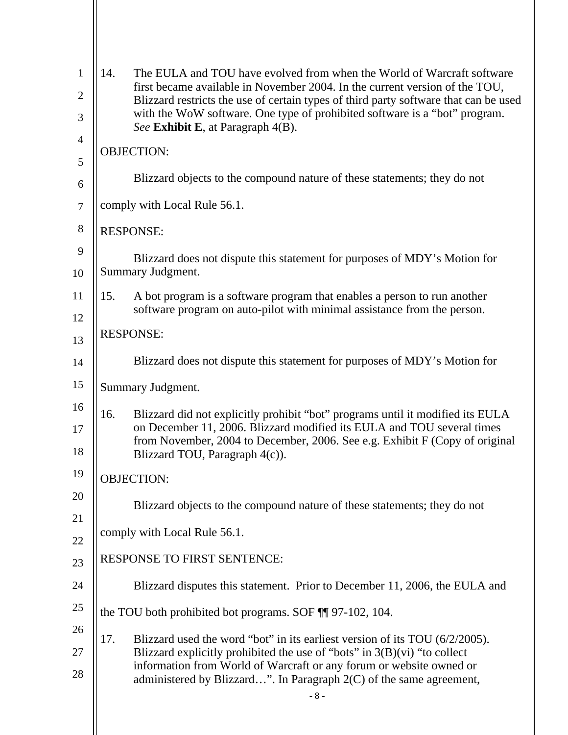| $\mathbf{1}$   | 14.                                                                                                                                                                 | The EULA and TOU have evolved from when the World of Warcraft software                                          |  |
|----------------|---------------------------------------------------------------------------------------------------------------------------------------------------------------------|-----------------------------------------------------------------------------------------------------------------|--|
| $\overline{2}$ | first became available in November 2004. In the current version of the TOU,<br>Blizzard restricts the use of certain types of third party software that can be used |                                                                                                                 |  |
| 3              |                                                                                                                                                                     | with the WoW software. One type of prohibited software is a "bot" program.<br>See Exhibit E, at Paragraph 4(B). |  |
| $\overline{4}$ | <b>OBJECTION:</b>                                                                                                                                                   |                                                                                                                 |  |
| 5              |                                                                                                                                                                     |                                                                                                                 |  |
| 6              |                                                                                                                                                                     | Blizzard objects to the compound nature of these statements; they do not                                        |  |
| $\tau$         |                                                                                                                                                                     | comply with Local Rule 56.1.                                                                                    |  |
| $8\,$          |                                                                                                                                                                     | <b>RESPONSE:</b>                                                                                                |  |
| 9              |                                                                                                                                                                     | Blizzard does not dispute this statement for purposes of MDY's Motion for                                       |  |
| 10             |                                                                                                                                                                     | Summary Judgment.                                                                                               |  |
| 11             | 15.                                                                                                                                                                 | A bot program is a software program that enables a person to run another                                        |  |
| 12             |                                                                                                                                                                     | software program on auto-pilot with minimal assistance from the person.                                         |  |
| 13             | <b>RESPONSE:</b>                                                                                                                                                    |                                                                                                                 |  |
| 14             |                                                                                                                                                                     | Blizzard does not dispute this statement for purposes of MDY's Motion for                                       |  |
| 15             | Summary Judgment.                                                                                                                                                   |                                                                                                                 |  |
| 16             | 16.                                                                                                                                                                 | Blizzard did not explicitly prohibit "bot" programs until it modified its EULA                                  |  |
| 17             | on December 11, 2006. Blizzard modified its EULA and TOU several times<br>from November, 2004 to December, 2006. See e.g. Exhibit F (Copy of original               |                                                                                                                 |  |
| 18             |                                                                                                                                                                     | Blizzard TOU, Paragraph 4(c)).                                                                                  |  |
| 19             | <b>OBJECTION:</b>                                                                                                                                                   |                                                                                                                 |  |
| 20             |                                                                                                                                                                     | Blizzard objects to the compound nature of these statements; they do not                                        |  |
| 21             |                                                                                                                                                                     |                                                                                                                 |  |
| 22             | comply with Local Rule 56.1.                                                                                                                                        |                                                                                                                 |  |
| 23             |                                                                                                                                                                     | <b>RESPONSE TO FIRST SENTENCE:</b>                                                                              |  |
| 24             |                                                                                                                                                                     | Blizzard disputes this statement. Prior to December 11, 2006, the EULA and                                      |  |
| 25             |                                                                                                                                                                     | the TOU both prohibited bot programs. SOF ¶ 97-102, 104.                                                        |  |
| 26             | 17.                                                                                                                                                                 | Blizzard used the word "bot" in its earliest version of its TOU (6/2/2005).                                     |  |
| 27             |                                                                                                                                                                     | Blizzard explicitly prohibited the use of "bots" in $3(B)(vi)$ "to collect                                      |  |
| 28             | information from World of Warcraft or any forum or website owned or<br>administered by Blizzard". In Paragraph 2(C) of the same agreement,                          |                                                                                                                 |  |
|                |                                                                                                                                                                     | $-8-$                                                                                                           |  |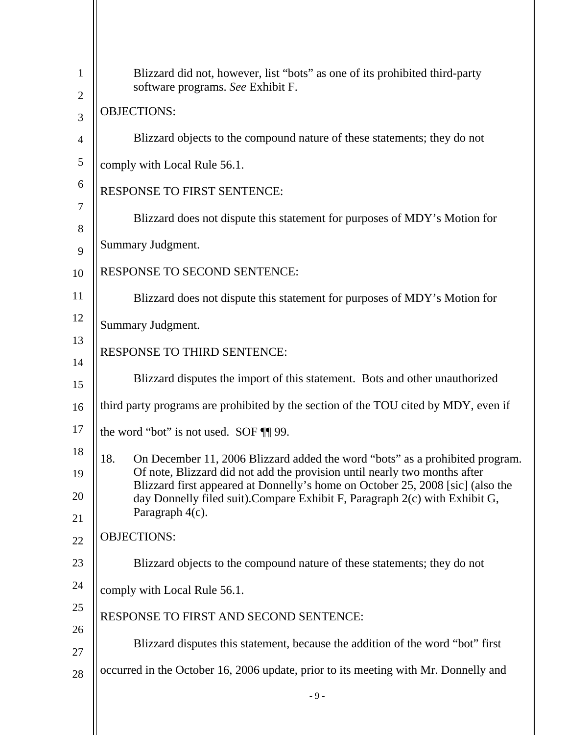| $\mathbf{1}$      | Blizzard did not, however, list "bots" as one of its prohibited third-party<br>software programs. See Exhibit F.                                                                 |  |
|-------------------|----------------------------------------------------------------------------------------------------------------------------------------------------------------------------------|--|
| $\mathbf{2}$<br>3 | <b>OBJECTIONS:</b>                                                                                                                                                               |  |
| $\overline{4}$    | Blizzard objects to the compound nature of these statements; they do not                                                                                                         |  |
| 5                 | comply with Local Rule 56.1.                                                                                                                                                     |  |
| 6                 | <b>RESPONSE TO FIRST SENTENCE:</b>                                                                                                                                               |  |
| 7<br>8            | Blizzard does not dispute this statement for purposes of MDY's Motion for                                                                                                        |  |
| 9                 | Summary Judgment.                                                                                                                                                                |  |
| 10                | RESPONSE TO SECOND SENTENCE:                                                                                                                                                     |  |
| 11                | Blizzard does not dispute this statement for purposes of MDY's Motion for                                                                                                        |  |
| 12                | Summary Judgment.                                                                                                                                                                |  |
| 13<br>14          | RESPONSE TO THIRD SENTENCE:                                                                                                                                                      |  |
| 15                | Blizzard disputes the import of this statement. Bots and other unauthorized                                                                                                      |  |
| 16                | third party programs are prohibited by the section of the TOU cited by MDY, even if                                                                                              |  |
| 17                | the word "bot" is not used. SOF ¶[ 99.                                                                                                                                           |  |
| 18<br>19          | On December 11, 2006 Blizzard added the word "bots" as a prohibited program.<br>18.<br>Of note, Blizzard did not add the provision until nearly two months after                 |  |
| 20                | Blizzard first appeared at Donnelly's home on October 25, 2008 [sic] (also the<br>day Donnelly filed suit). Compare Exhibit F, Paragraph 2(c) with Exhibit G,<br>Paragraph 4(c). |  |
| 21<br>22          | <b>OBJECTIONS:</b>                                                                                                                                                               |  |
| 23                | Blizzard objects to the compound nature of these statements; they do not                                                                                                         |  |
| 24                | comply with Local Rule 56.1.                                                                                                                                                     |  |
| 25                | RESPONSE TO FIRST AND SECOND SENTENCE:                                                                                                                                           |  |
| 26                |                                                                                                                                                                                  |  |
| 27                | Blizzard disputes this statement, because the addition of the word "bot" first                                                                                                   |  |
| 28                | occurred in the October 16, 2006 update, prior to its meeting with Mr. Donnelly and                                                                                              |  |
|                   | $-9-$                                                                                                                                                                            |  |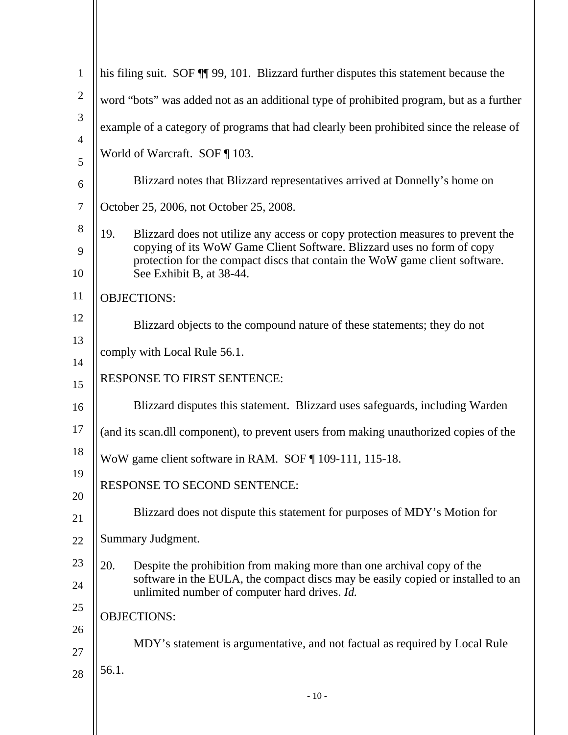| $\mathbf{1}$   | his filing suit. SOF [1] 99, 101. Blizzard further disputes this statement because the                                           |  |  |
|----------------|----------------------------------------------------------------------------------------------------------------------------------|--|--|
| $\overline{2}$ | word "bots" was added not as an additional type of prohibited program, but as a further                                          |  |  |
| 3              | example of a category of programs that had clearly been prohibited since the release of                                          |  |  |
| $\overline{4}$ | World of Warcraft. SOF   103.                                                                                                    |  |  |
| 5              |                                                                                                                                  |  |  |
| 6              | Blizzard notes that Blizzard representatives arrived at Donnelly's home on                                                       |  |  |
| $\tau$         | October 25, 2006, not October 25, 2008.                                                                                          |  |  |
| 8              | 19.<br>Blizzard does not utilize any access or copy protection measures to prevent the                                           |  |  |
| 9              | copying of its WoW Game Client Software. Blizzard uses no form of copy                                                           |  |  |
| 10             | protection for the compact discs that contain the WoW game client software.<br>See Exhibit B, at 38-44.                          |  |  |
| 11             | <b>OBJECTIONS:</b>                                                                                                               |  |  |
| 12             | Blizzard objects to the compound nature of these statements; they do not                                                         |  |  |
| 13             |                                                                                                                                  |  |  |
| 14             | comply with Local Rule 56.1.                                                                                                     |  |  |
| 15             | RESPONSE TO FIRST SENTENCE:                                                                                                      |  |  |
| 16             | Blizzard disputes this statement. Blizzard uses safeguards, including Warden                                                     |  |  |
| 17             | (and its scan.dll component), to prevent users from making unauthorized copies of the                                            |  |  |
| 18             | WoW game client software in RAM. SOF ¶ 109-111, 115-18.                                                                          |  |  |
| 19             |                                                                                                                                  |  |  |
| 20             | RESPONSE TO SECOND SENTENCE:                                                                                                     |  |  |
| 21             | Blizzard does not dispute this statement for purposes of MDY's Motion for                                                        |  |  |
| 22             | Summary Judgment.                                                                                                                |  |  |
| 23             | 20.<br>Despite the prohibition from making more than one archival copy of the                                                    |  |  |
| 24             | software in the EULA, the compact discs may be easily copied or installed to an<br>unlimited number of computer hard drives. Id. |  |  |
| 25             | <b>OBJECTIONS:</b>                                                                                                               |  |  |
| 26             |                                                                                                                                  |  |  |
| 27             | MDY's statement is argumentative, and not factual as required by Local Rule                                                      |  |  |
| 28             | 56.1.                                                                                                                            |  |  |
|                | $-10-$                                                                                                                           |  |  |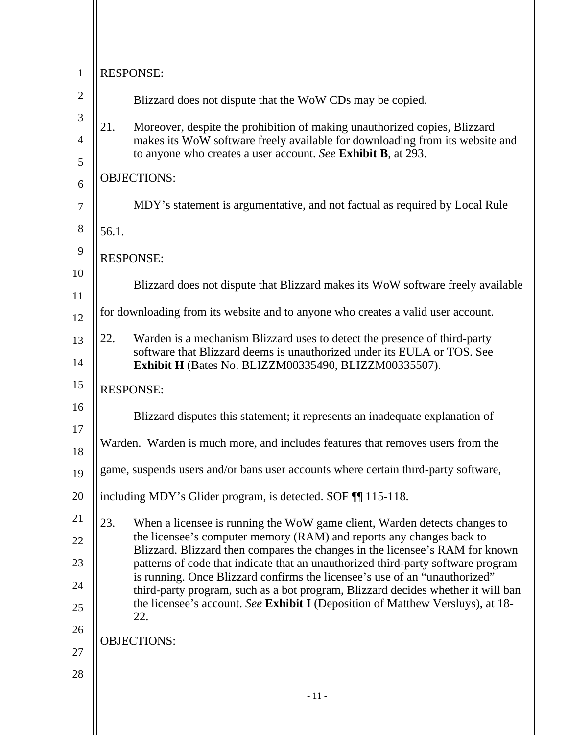| $\mathbf{1}$   | <b>RESPONSE:</b>                                                                                                                                                    |                                                                                                                                                      |  |
|----------------|---------------------------------------------------------------------------------------------------------------------------------------------------------------------|------------------------------------------------------------------------------------------------------------------------------------------------------|--|
| $\overline{2}$ |                                                                                                                                                                     | Blizzard does not dispute that the WoW CDs may be copied.                                                                                            |  |
| 3              | 21.                                                                                                                                                                 | Moreover, despite the prohibition of making unauthorized copies, Blizzard                                                                            |  |
| $\overline{4}$ |                                                                                                                                                                     | makes its WoW software freely available for downloading from its website and<br>to anyone who creates a user account. See Exhibit B, at 293.         |  |
| 5<br>6         |                                                                                                                                                                     | <b>OBJECTIONS:</b>                                                                                                                                   |  |
| $\overline{7}$ |                                                                                                                                                                     | MDY's statement is argumentative, and not factual as required by Local Rule                                                                          |  |
| 8              | 56.1.                                                                                                                                                               |                                                                                                                                                      |  |
| 9              |                                                                                                                                                                     |                                                                                                                                                      |  |
| 10             |                                                                                                                                                                     | <b>RESPONSE:</b>                                                                                                                                     |  |
| 11             |                                                                                                                                                                     | Blizzard does not dispute that Blizzard makes its WoW software freely available                                                                      |  |
| 12             |                                                                                                                                                                     | for downloading from its website and to anyone who creates a valid user account.                                                                     |  |
| 13             | 22.                                                                                                                                                                 | Warden is a mechanism Blizzard uses to detect the presence of third-party<br>software that Blizzard deems is unauthorized under its EULA or TOS. See |  |
| 14             |                                                                                                                                                                     | Exhibit H (Bates No. BLIZZM00335490, BLIZZM00335507).                                                                                                |  |
| 15             |                                                                                                                                                                     | <b>RESPONSE:</b>                                                                                                                                     |  |
| 16             |                                                                                                                                                                     | Blizzard disputes this statement; it represents an inadequate explanation of                                                                         |  |
| 17<br>18       |                                                                                                                                                                     | Warden. Warden is much more, and includes features that removes users from the                                                                       |  |
| 19             | game, suspends users and/or bans user accounts where certain third-party software,                                                                                  |                                                                                                                                                      |  |
| 20             |                                                                                                                                                                     | including MDY's Glider program, is detected. SOF TI 115-118.                                                                                         |  |
| 21             | 23.                                                                                                                                                                 | When a licensee is running the WoW game client, Warden detects changes to                                                                            |  |
| 22             |                                                                                                                                                                     | the licensee's computer memory (RAM) and reports any changes back to<br>Blizzard. Blizzard then compares the changes in the licensee's RAM for known |  |
| 23             | is running. Once Blizzard confirms the licensee's use of an "unauthorized"<br>the licensee's account. See Exhibit I (Deposition of Matthew Versluys), at 18-<br>22. | patterns of code that indicate that an unauthorized third-party software program                                                                     |  |
| 24             |                                                                                                                                                                     | third-party program, such as a bot program, Blizzard decides whether it will ban                                                                     |  |
| 25             |                                                                                                                                                                     |                                                                                                                                                      |  |
| 26             |                                                                                                                                                                     | <b>OBJECTIONS:</b>                                                                                                                                   |  |
| 27             |                                                                                                                                                                     |                                                                                                                                                      |  |
| 28             |                                                                                                                                                                     | $-11-$                                                                                                                                               |  |
|                |                                                                                                                                                                     |                                                                                                                                                      |  |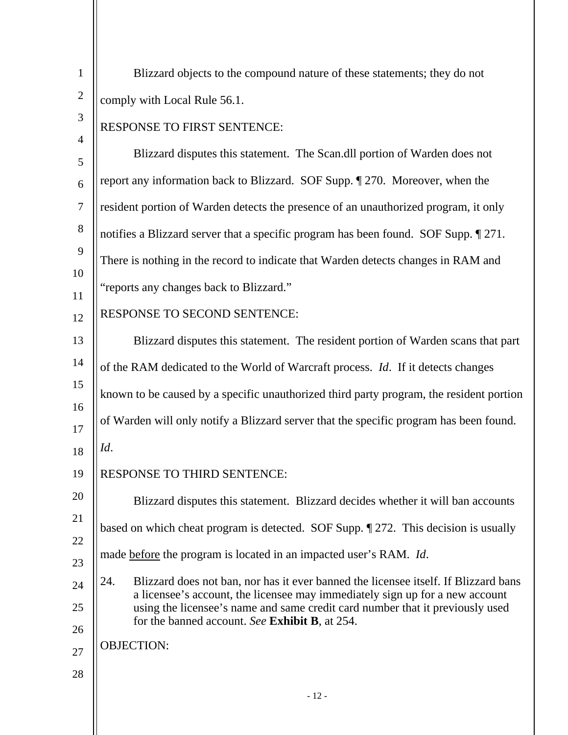| $\mathbf{1}$   | Blizzard objects to the compound nature of these statements; they do not                                                                                      |  |
|----------------|---------------------------------------------------------------------------------------------------------------------------------------------------------------|--|
| $\mathbf{2}$   | comply with Local Rule 56.1.                                                                                                                                  |  |
| 3              | RESPONSE TO FIRST SENTENCE:                                                                                                                                   |  |
| $\overline{4}$ | Blizzard disputes this statement. The Scan.dll portion of Warden does not                                                                                     |  |
| 5              |                                                                                                                                                               |  |
| 6              | report any information back to Blizzard. SOF Supp. 1270. Moreover, when the                                                                                   |  |
| $\tau$         | resident portion of Warden detects the presence of an unauthorized program, it only                                                                           |  |
| 8              | notifies a Blizzard server that a specific program has been found. SOF Supp. 1271.                                                                            |  |
| 9              | There is nothing in the record to indicate that Warden detects changes in RAM and                                                                             |  |
| 10<br>11       | "reports any changes back to Blizzard."                                                                                                                       |  |
| 12             | RESPONSE TO SECOND SENTENCE:                                                                                                                                  |  |
| 13             | Blizzard disputes this statement. The resident portion of Warden scans that part                                                                              |  |
| 14             | of the RAM dedicated to the World of Warcraft process. Id. If it detects changes                                                                              |  |
| 15             | known to be caused by a specific unauthorized third party program, the resident portion                                                                       |  |
| 16             | of Warden will only notify a Blizzard server that the specific program has been found.                                                                        |  |
| 17<br>18       | Id.                                                                                                                                                           |  |
|                |                                                                                                                                                               |  |
| 19             | RESPONSE TO THIRD SENTENCE:                                                                                                                                   |  |
| 20             | Blizzard disputes this statement. Blizzard decides whether it will ban accounts                                                                               |  |
| 21<br>22       | based on which cheat program is detected. SOF Supp. 1272. This decision is usually                                                                            |  |
| 23             | made before the program is located in an impacted user's RAM. Id.                                                                                             |  |
| 24             | 24.<br>Blizzard does not ban, nor has it ever banned the licensee itself. If Blizzard bans                                                                    |  |
| 25             | a licensee's account, the licensee may immediately sign up for a new account<br>using the licensee's name and same credit card number that it previously used |  |
| 26             | for the banned account. See Exhibit B, at 254.                                                                                                                |  |
| 27             | <b>OBJECTION:</b>                                                                                                                                             |  |
| 28             |                                                                                                                                                               |  |
|                | $-12-$                                                                                                                                                        |  |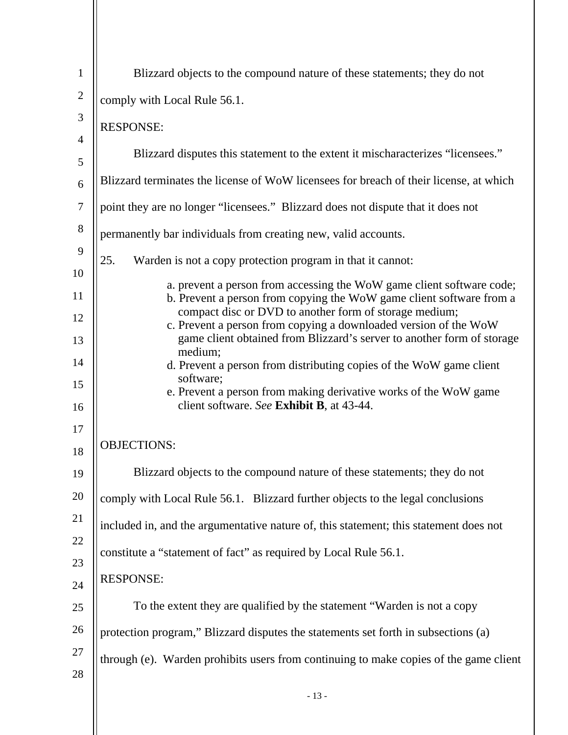| $\mathbf{1}$        | Blizzard objects to the compound nature of these statements; they do not                                                                   |
|---------------------|--------------------------------------------------------------------------------------------------------------------------------------------|
| $\overline{2}$      | comply with Local Rule 56.1.                                                                                                               |
| 3                   | <b>RESPONSE:</b>                                                                                                                           |
| $\overline{4}$<br>5 | Blizzard disputes this statement to the extent it mischaracterizes "licensees."                                                            |
| 6                   | Blizzard terminates the license of WoW licensees for breach of their license, at which                                                     |
| 7                   | point they are no longer "licensees." Blizzard does not dispute that it does not                                                           |
| 8                   | permanently bar individuals from creating new, valid accounts.                                                                             |
| 9                   | 25.<br>Warden is not a copy protection program in that it cannot:                                                                          |
| 10<br>11            | a. prevent a person from accessing the WoW game client software code;                                                                      |
| 12                  | b. Prevent a person from copying the WoW game client software from a<br>compact disc or DVD to another form of storage medium;             |
| 13                  | c. Prevent a person from copying a downloaded version of the WoW<br>game client obtained from Blizzard's server to another form of storage |
| 14                  | medium;<br>d. Prevent a person from distributing copies of the WoW game client                                                             |
| 15                  | software;<br>e. Prevent a person from making derivative works of the WoW game                                                              |
| 16                  | client software. See Exhibit B, at 43-44.                                                                                                  |
| 17                  |                                                                                                                                            |
| 18                  | <b>OBJECTIONS:</b>                                                                                                                         |
| 19                  | Blizzard objects to the compound nature of these statements; they do not                                                                   |
| 20                  | comply with Local Rule 56.1. Blizzard further objects to the legal conclusions                                                             |
| 21                  | included in, and the argumentative nature of, this statement; this statement does not                                                      |
| 22                  | constitute a "statement of fact" as required by Local Rule 56.1.                                                                           |
| 23                  | <b>RESPONSE:</b>                                                                                                                           |
| 24                  |                                                                                                                                            |
| 25                  | To the extent they are qualified by the statement "Warden is not a copy                                                                    |
| 26                  | protection program," Blizzard disputes the statements set forth in subsections (a)                                                         |
| 27                  | through (e). Warden prohibits users from continuing to make copies of the game client                                                      |
| 28                  |                                                                                                                                            |
|                     | $-13-$                                                                                                                                     |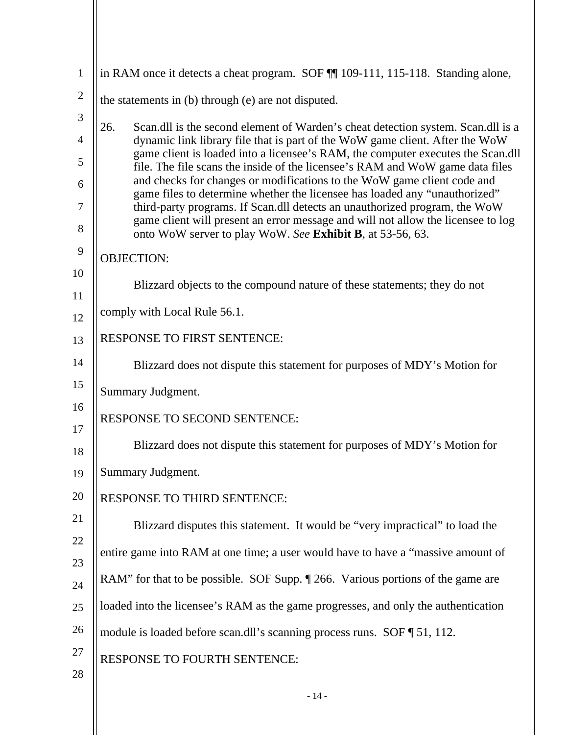| $\mathbf{1}$   | in RAM once it detects a cheat program. SOF ¶ 109-111, 115-118. Standing alone,                                                                                                                                             |
|----------------|-----------------------------------------------------------------------------------------------------------------------------------------------------------------------------------------------------------------------------|
| $\overline{2}$ | the statements in (b) through (e) are not disputed.                                                                                                                                                                         |
| 3              | 26.<br>Scan.dll is the second element of Warden's cheat detection system. Scan.dll is a                                                                                                                                     |
| $\overline{4}$ | dynamic link library file that is part of the WoW game client. After the WoW<br>game client is loaded into a licensee's RAM, the computer executes the Scan.dll                                                             |
| 5              | file. The file scans the inside of the licensee's RAM and WoW game data files<br>and checks for changes or modifications to the WoW game client code and                                                                    |
| 6<br>7         | game files to determine whether the licensee has loaded any "unauthorized"                                                                                                                                                  |
| 8              | third-party programs. If Scan.dll detects an unauthorized program, the WoW<br>game client will present an error message and will not allow the licensee to log<br>onto WoW server to play WoW. See Exhibit B, at 53-56, 63. |
| 9              | <b>OBJECTION:</b>                                                                                                                                                                                                           |
| 10             | Blizzard objects to the compound nature of these statements; they do not                                                                                                                                                    |
| 11             | comply with Local Rule 56.1.                                                                                                                                                                                                |
| 12             | <b>RESPONSE TO FIRST SENTENCE:</b>                                                                                                                                                                                          |
| 13<br>14       |                                                                                                                                                                                                                             |
| 15             | Blizzard does not dispute this statement for purposes of MDY's Motion for                                                                                                                                                   |
|                | Summary Judgment.                                                                                                                                                                                                           |
| 16<br>17       | <b>RESPONSE TO SECOND SENTENCE:</b>                                                                                                                                                                                         |
| 18             | Blizzard does not dispute this statement for purposes of MDY's Motion for                                                                                                                                                   |
| 19             | Summary Judgment.                                                                                                                                                                                                           |
| 20             | RESPONSE TO THIRD SENTENCE:                                                                                                                                                                                                 |
| 21             | Blizzard disputes this statement. It would be "very impractical" to load the                                                                                                                                                |
| 22             | entire game into RAM at one time; a user would have to have a "massive amount of                                                                                                                                            |
| 23             | RAM" for that to be possible. SOF Supp. 1 266. Various portions of the game are                                                                                                                                             |
| 24             | loaded into the licensee's RAM as the game progresses, and only the authentication                                                                                                                                          |
| 25             |                                                                                                                                                                                                                             |
| 26             | module is loaded before scan.dll's scanning process runs. SOF [51, 112.                                                                                                                                                     |
| 27             | <b>RESPONSE TO FOURTH SENTENCE:</b>                                                                                                                                                                                         |
| 28             |                                                                                                                                                                                                                             |
|                | $-14-$                                                                                                                                                                                                                      |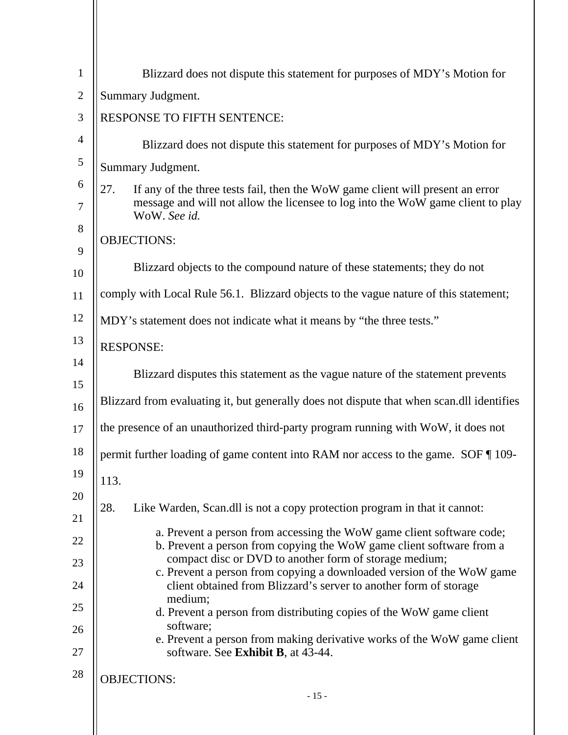| $\mathbf{1}$   | Blizzard does not dispute this statement for purposes of MDY's Motion for                                                                     |  |
|----------------|-----------------------------------------------------------------------------------------------------------------------------------------------|--|
| $\overline{2}$ | Summary Judgment.                                                                                                                             |  |
| 3              | <b>RESPONSE TO FIFTH SENTENCE:</b>                                                                                                            |  |
| $\overline{4}$ | Blizzard does not dispute this statement for purposes of MDY's Motion for                                                                     |  |
| 5              | Summary Judgment.                                                                                                                             |  |
| 6              | 27.<br>If any of the three tests fail, then the WoW game client will present an error                                                         |  |
| 7              | message and will not allow the licensee to log into the WoW game client to play<br>WoW. See id.                                               |  |
| 8              | <b>OBJECTIONS:</b>                                                                                                                            |  |
| 9              | Blizzard objects to the compound nature of these statements; they do not                                                                      |  |
| 10             |                                                                                                                                               |  |
| 11             | comply with Local Rule 56.1. Blizzard objects to the vague nature of this statement;                                                          |  |
| 12             | MDY's statement does not indicate what it means by "the three tests."                                                                         |  |
| 13             | <b>RESPONSE:</b>                                                                                                                              |  |
| 14             | Blizzard disputes this statement as the vague nature of the statement prevents                                                                |  |
| 15             |                                                                                                                                               |  |
| 16             | Blizzard from evaluating it, but generally does not dispute that when scan.dll identifies                                                     |  |
| 17             | the presence of an unauthorized third-party program running with WoW, it does not                                                             |  |
| 18             | permit further loading of game content into RAM nor access to the game. SOF 109-                                                              |  |
| 19             | 113.                                                                                                                                          |  |
| 20             | 28.<br>Like Warden, Scan.dll is not a copy protection program in that it cannot:                                                              |  |
| 21             |                                                                                                                                               |  |
| 22             | a. Prevent a person from accessing the WoW game client software code;<br>b. Prevent a person from copying the WoW game client software from a |  |
| 23             | compact disc or DVD to another form of storage medium;<br>c. Prevent a person from copying a downloaded version of the WoW game               |  |
| 24             | client obtained from Blizzard's server to another form of storage                                                                             |  |
| 25             | medium;<br>d. Prevent a person from distributing copies of the WoW game client                                                                |  |
| 26             | software;                                                                                                                                     |  |
| 27             | e. Prevent a person from making derivative works of the WoW game client<br>software. See Exhibit B, at 43-44.                                 |  |
| 28             | <b>OBJECTIONS:</b>                                                                                                                            |  |
|                | $-15-$                                                                                                                                        |  |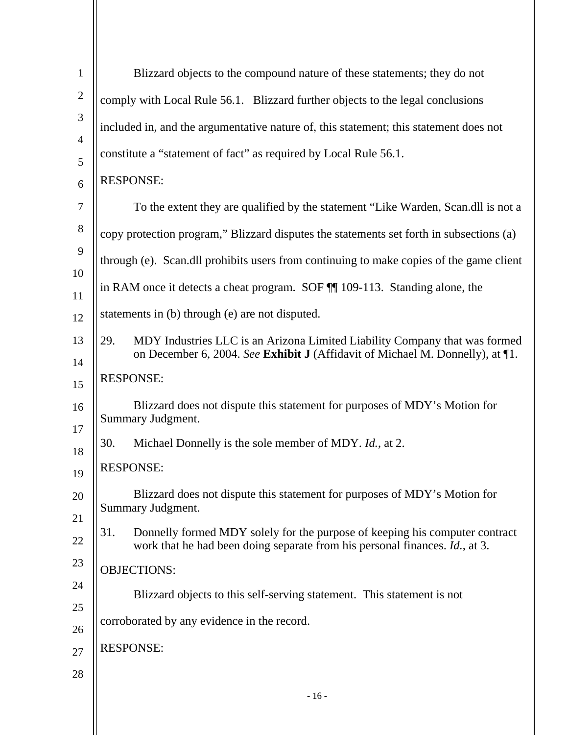| $\mathbf{1}$        | Blizzard objects to the compound nature of these statements; they do not                                |
|---------------------|---------------------------------------------------------------------------------------------------------|
| $\overline{2}$      | comply with Local Rule 56.1. Blizzard further objects to the legal conclusions                          |
| 3                   | included in, and the argumentative nature of, this statement; this statement does not                   |
| $\overline{4}$<br>5 | constitute a "statement of fact" as required by Local Rule 56.1.                                        |
| 6                   | <b>RESPONSE:</b>                                                                                        |
| 7                   | To the extent they are qualified by the statement "Like Warden, Scan.dll is not a                       |
| $8\phantom{.}$      | copy protection program," Blizzard disputes the statements set forth in subsections (a)                 |
| 9                   | through (e). Scan.dll prohibits users from continuing to make copies of the game client                 |
| 10                  | in RAM once it detects a cheat program. SOF $\P$ 109-113. Standing alone, the                           |
| 11<br>12            | statements in (b) through (e) are not disputed.                                                         |
| 13                  | MDY Industries LLC is an Arizona Limited Liability Company that was formed<br>29.                       |
| 14                  | on December 6, 2004. See Exhibit J (Affidavit of Michael M. Donnelly), at 1.                            |
| 15                  | <b>RESPONSE:</b>                                                                                        |
| 16                  | Blizzard does not dispute this statement for purposes of MDY's Motion for<br><b>Summary Judgment.</b>   |
| 17<br>18            | 30.<br>Michael Donnelly is the sole member of MDY. <i>Id.</i> , at 2.                                   |
| 19                  | <b>RESPONSE:</b>                                                                                        |
| 20                  | Blizzard does not dispute this statement for purposes of MDY's Motion for                               |
| 21                  | Summary Judgment.<br>31.<br>Donnelly formed MDY solely for the purpose of keeping his computer contract |
| 22                  | work that he had been doing separate from his personal finances. Id., at 3.                             |
| 23                  | <b>OBJECTIONS:</b>                                                                                      |
| 24<br>25            | Blizzard objects to this self-serving statement. This statement is not                                  |
| 26                  | corroborated by any evidence in the record.                                                             |
| 27                  | <b>RESPONSE:</b>                                                                                        |
| 28                  |                                                                                                         |
|                     | $-16-$                                                                                                  |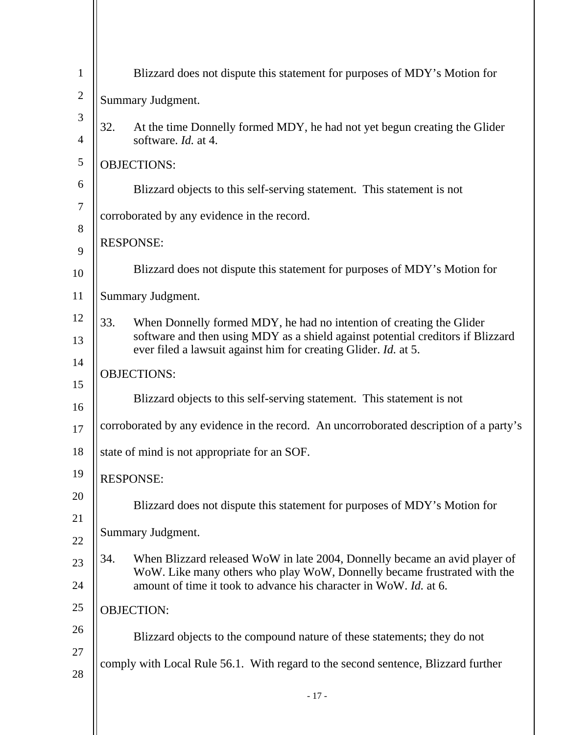| $\mathbf{1}$   | Blizzard does not dispute this statement for purposes of MDY's Motion for                                                                                      |  |
|----------------|----------------------------------------------------------------------------------------------------------------------------------------------------------------|--|
| $\overline{c}$ | Summary Judgment.                                                                                                                                              |  |
| 3              | 32.<br>At the time Donnelly formed MDY, he had not yet begun creating the Glider                                                                               |  |
| 4              | software. Id. at 4.                                                                                                                                            |  |
| 5              | <b>OBJECTIONS:</b>                                                                                                                                             |  |
| 6              | Blizzard objects to this self-serving statement. This statement is not                                                                                         |  |
| 7              | corroborated by any evidence in the record.                                                                                                                    |  |
| 8              | <b>RESPONSE:</b>                                                                                                                                               |  |
| 9              | Blizzard does not dispute this statement for purposes of MDY's Motion for                                                                                      |  |
| 10             |                                                                                                                                                                |  |
| 11             | Summary Judgment.                                                                                                                                              |  |
| 12             | 33.<br>When Donnelly formed MDY, he had no intention of creating the Glider<br>software and then using MDY as a shield against potential creditors if Blizzard |  |
| 13             | ever filed a lawsuit against him for creating Glider. Id. at 5.                                                                                                |  |
| 14             | <b>OBJECTIONS:</b>                                                                                                                                             |  |
| 15<br>16       | Blizzard objects to this self-serving statement. This statement is not                                                                                         |  |
| 17             | corroborated by any evidence in the record. An uncorroborated description of a party's                                                                         |  |
| 18             | state of mind is not appropriate for an SOF.                                                                                                                   |  |
| 19             |                                                                                                                                                                |  |
| 20             | <b>RESPONSE:</b>                                                                                                                                               |  |
| 21             | Blizzard does not dispute this statement for purposes of MDY's Motion for                                                                                      |  |
| 22             | Summary Judgment.                                                                                                                                              |  |
| 23             | 34.<br>When Blizzard released WoW in late 2004, Donnelly became an avid player of                                                                              |  |
| 24             | WoW. Like many others who play WoW, Donnelly became frustrated with the<br>amount of time it took to advance his character in WoW. Id. at 6.                   |  |
| 25             | <b>OBJECTION:</b>                                                                                                                                              |  |
| 26             | Blizzard objects to the compound nature of these statements; they do not                                                                                       |  |
| 27             |                                                                                                                                                                |  |
| 28             | comply with Local Rule 56.1. With regard to the second sentence, Blizzard further                                                                              |  |
|                | $-17-$                                                                                                                                                         |  |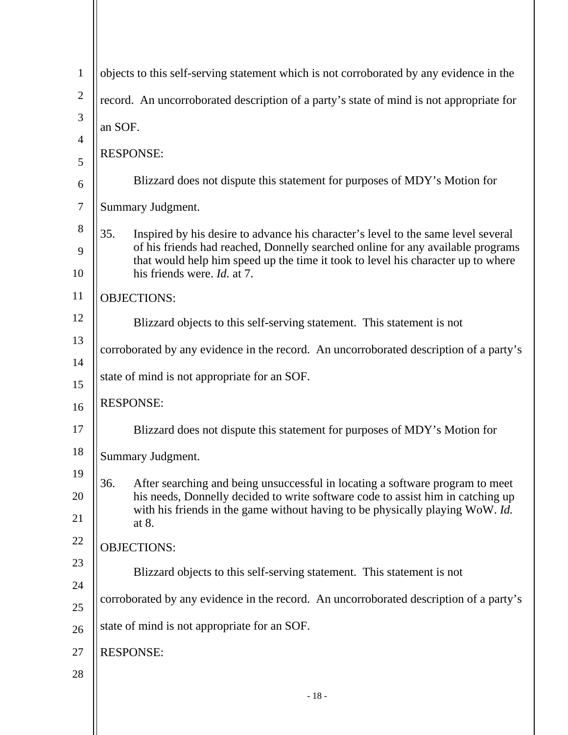| $\mathbf{1}$   | objects to this self-serving statement which is not corroborated by any evidence in the                                                                             |  |
|----------------|---------------------------------------------------------------------------------------------------------------------------------------------------------------------|--|
| $\sqrt{2}$     | record. An uncorroborated description of a party's state of mind is not appropriate for                                                                             |  |
| 3              | an SOF.                                                                                                                                                             |  |
| $\overline{4}$ | <b>RESPONSE:</b>                                                                                                                                                    |  |
| 5              |                                                                                                                                                                     |  |
| 6              | Blizzard does not dispute this statement for purposes of MDY's Motion for                                                                                           |  |
| $\tau$         | Summary Judgment.                                                                                                                                                   |  |
| 8              | 35.<br>Inspired by his desire to advance his character's level to the same level several                                                                            |  |
| 9              | of his friends had reached, Donnelly searched online for any available programs<br>that would help him speed up the time it took to level his character up to where |  |
| 10             | his friends were. <i>Id.</i> at 7.                                                                                                                                  |  |
| 11             | <b>OBJECTIONS:</b>                                                                                                                                                  |  |
| 12             | Blizzard objects to this self-serving statement. This statement is not                                                                                              |  |
| 13             | corroborated by any evidence in the record. An uncorroborated description of a party's                                                                              |  |
| 14             | state of mind is not appropriate for an SOF.                                                                                                                        |  |
| 15             |                                                                                                                                                                     |  |
| 16             | <b>RESPONSE:</b>                                                                                                                                                    |  |
| 17             | Blizzard does not dispute this statement for purposes of MDY's Motion for                                                                                           |  |
| 18             | Summary Judgment.                                                                                                                                                   |  |
| 19             | 36.<br>After searching and being unsuccessful in locating a software program to meet                                                                                |  |
| 20             | his needs, Donnelly decided to write software code to assist him in catching up<br>with his friends in the game without having to be physically playing WoW. Id.    |  |
| 21             | at 8.                                                                                                                                                               |  |
| 22             | <b>OBJECTIONS:</b>                                                                                                                                                  |  |
| 23             | Blizzard objects to this self-serving statement. This statement is not                                                                                              |  |
| 24             | corroborated by any evidence in the record. An uncorroborated description of a party's                                                                              |  |
| 25             | state of mind is not appropriate for an SOF.                                                                                                                        |  |
| 26             |                                                                                                                                                                     |  |
| 27             | <b>RESPONSE:</b>                                                                                                                                                    |  |
| 28             |                                                                                                                                                                     |  |
|                | $-18-$                                                                                                                                                              |  |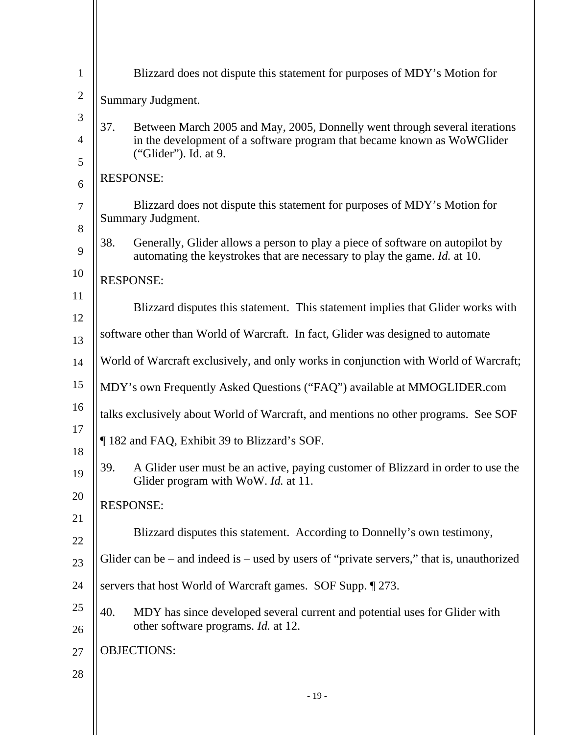| $\mathbf{1}$   | Blizzard does not dispute this statement for purposes of MDY's Motion for                                                                                         |  |
|----------------|-------------------------------------------------------------------------------------------------------------------------------------------------------------------|--|
| $\overline{2}$ | Summary Judgment.                                                                                                                                                 |  |
| 3              | 37.<br>Between March 2005 and May, 2005, Donnelly went through several iterations                                                                                 |  |
| $\overline{4}$ | in the development of a software program that became known as WoWGlider<br>("Glider"). Id. at 9.                                                                  |  |
| 5<br>6         | <b>RESPONSE:</b>                                                                                                                                                  |  |
| $\overline{7}$ | Blizzard does not dispute this statement for purposes of MDY's Motion for<br>Summary Judgment.                                                                    |  |
| 8<br>9         | Generally, Glider allows a person to play a piece of software on autopilot by<br>38.<br>automating the keystrokes that are necessary to play the game. Id. at 10. |  |
| 10             | <b>RESPONSE:</b>                                                                                                                                                  |  |
| 11<br>12       | Blizzard disputes this statement. This statement implies that Glider works with                                                                                   |  |
| 13             | software other than World of Warcraft. In fact, Glider was designed to automate                                                                                   |  |
| 14             | World of Warcraft exclusively, and only works in conjunction with World of Warcraft;                                                                              |  |
| 15             | MDY's own Frequently Asked Questions ("FAQ") available at MMOGLIDER.com                                                                                           |  |
| 16             | talks exclusively about World of Warcraft, and mentions no other programs. See SOF                                                                                |  |
| 17<br>18       | 182 and FAQ, Exhibit 39 to Blizzard's SOF.                                                                                                                        |  |
| 19             | A Glider user must be an active, paying customer of Blizzard in order to use the<br>39.<br>Glider program with WoW. Id. at 11.                                    |  |
| 20             | <b>RESPONSE:</b>                                                                                                                                                  |  |
| 21             |                                                                                                                                                                   |  |
| 22             | Blizzard disputes this statement. According to Donnelly's own testimony,                                                                                          |  |
| 23             | Glider can be $-$ and indeed is $-$ used by users of "private servers," that is, unauthorized                                                                     |  |
| 24             | servers that host World of Warcraft games. SOF Supp. 1273.                                                                                                        |  |
| 25<br>26       | MDY has since developed several current and potential uses for Glider with<br>40.<br>other software programs. Id. at 12.                                          |  |
| 27             | <b>OBJECTIONS:</b>                                                                                                                                                |  |
| 28             |                                                                                                                                                                   |  |
|                | $-19-$                                                                                                                                                            |  |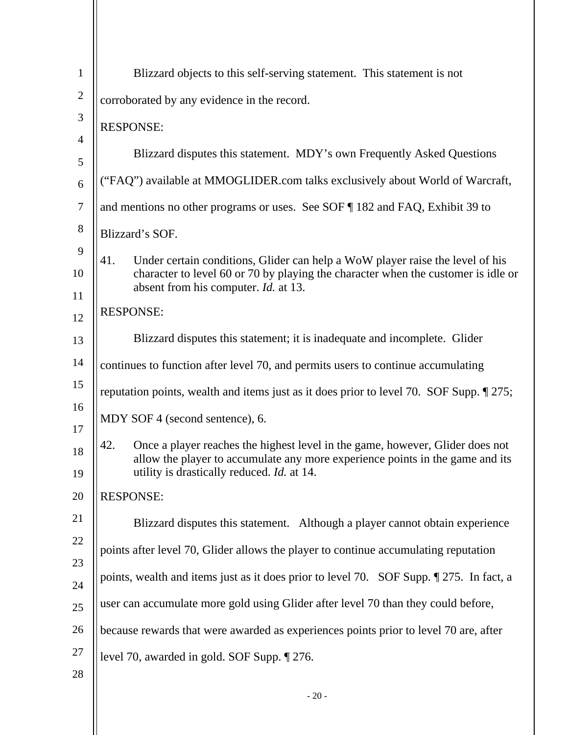| $\mathbf{1}$   | Blizzard objects to this self-serving statement. This statement is not                                                                                                    |  |
|----------------|---------------------------------------------------------------------------------------------------------------------------------------------------------------------------|--|
| $\mathbf{2}$   | corroborated by any evidence in the record.                                                                                                                               |  |
| 3              | <b>RESPONSE:</b>                                                                                                                                                          |  |
| $\overline{4}$ | Blizzard disputes this statement. MDY's own Frequently Asked Questions                                                                                                    |  |
| 5              | ("FAQ") available at MMOGLIDER.com talks exclusively about World of Warcraft,                                                                                             |  |
| 6<br>$\tau$    |                                                                                                                                                                           |  |
| $8\,$          | and mentions no other programs or uses. See SOF 182 and FAQ, Exhibit 39 to                                                                                                |  |
| 9              | Blizzard's SOF.                                                                                                                                                           |  |
| 10             | 41.<br>Under certain conditions, Glider can help a WoW player raise the level of his<br>character to level 60 or 70 by playing the character when the customer is idle or |  |
| 11             | absent from his computer. <i>Id.</i> at 13.                                                                                                                               |  |
| 12             | <b>RESPONSE:</b>                                                                                                                                                          |  |
| 13             | Blizzard disputes this statement; it is inadequate and incomplete. Glider                                                                                                 |  |
| 14             | continues to function after level 70, and permits users to continue accumulating                                                                                          |  |
| 15             | reputation points, wealth and items just as it does prior to level 70. SOF Supp. [275;                                                                                    |  |
| 16<br>17       | MDY SOF 4 (second sentence), 6.                                                                                                                                           |  |
| 18             | Once a player reaches the highest level in the game, however, Glider does not<br>42.                                                                                      |  |
| 19             | allow the player to accumulate any more experience points in the game and its<br>utility is drastically reduced. <i>Id.</i> at 14.                                        |  |
| 20             | <b>RESPONSE:</b>                                                                                                                                                          |  |
| 21             | Blizzard disputes this statement. Although a player cannot obtain experience                                                                                              |  |
| 22             | points after level 70, Glider allows the player to continue accumulating reputation                                                                                       |  |
| 23             | points, wealth and items just as it does prior to level 70. SOF Supp. 1275. In fact, a                                                                                    |  |
| 24             |                                                                                                                                                                           |  |
| 25             | user can accumulate more gold using Glider after level 70 than they could before,                                                                                         |  |
| 26             | because rewards that were awarded as experiences points prior to level 70 are, after                                                                                      |  |
| 27             | level 70, awarded in gold. SOF Supp. 1276.                                                                                                                                |  |
| 28             |                                                                                                                                                                           |  |
|                | $-20-$                                                                                                                                                                    |  |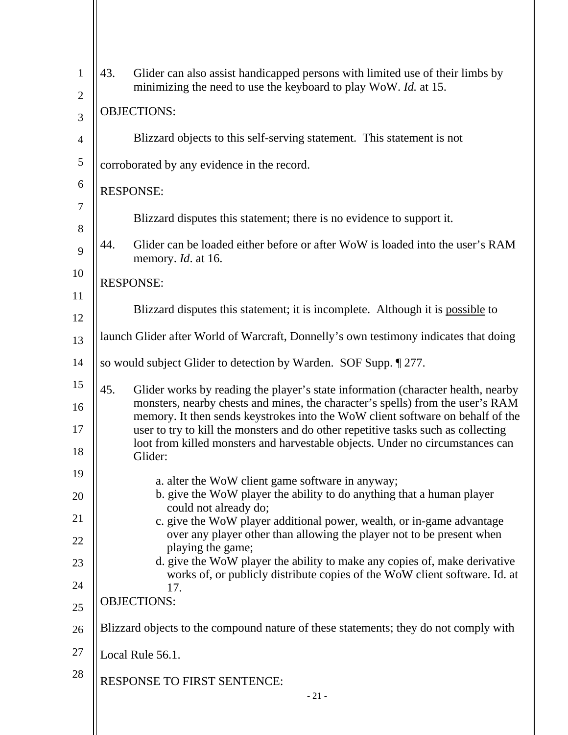| $\mathbf{1}$   | 43.                                                             | Glider can also assist handicapped persons with limited use of their limbs by<br>minimizing the need to use the keyboard to play WoW. Id. at 15.                                                                                                     |
|----------------|-----------------------------------------------------------------|------------------------------------------------------------------------------------------------------------------------------------------------------------------------------------------------------------------------------------------------------|
| $\overline{2}$ |                                                                 |                                                                                                                                                                                                                                                      |
| 3              | <b>OBJECTIONS:</b>                                              |                                                                                                                                                                                                                                                      |
| $\overline{4}$ |                                                                 | Blizzard objects to this self-serving statement. This statement is not                                                                                                                                                                               |
| $\mathfrak{S}$ |                                                                 | corroborated by any evidence in the record.                                                                                                                                                                                                          |
| 6              | <b>RESPONSE:</b>                                                |                                                                                                                                                                                                                                                      |
| 7<br>8         |                                                                 | Blizzard disputes this statement; there is no evidence to support it.                                                                                                                                                                                |
| 9              | 44.                                                             | Glider can be loaded either before or after WoW is loaded into the user's RAM<br>memory. <i>Id.</i> at 16.                                                                                                                                           |
| 10             | <b>RESPONSE:</b>                                                |                                                                                                                                                                                                                                                      |
| 11             |                                                                 | Blizzard disputes this statement; it is incomplete. Although it is possible to                                                                                                                                                                       |
| 12<br>13       |                                                                 | launch Glider after World of Warcraft, Donnelly's own testimony indicates that doing                                                                                                                                                                 |
| 14             |                                                                 |                                                                                                                                                                                                                                                      |
|                | so would subject Glider to detection by Warden. SOF Supp. 1277. |                                                                                                                                                                                                                                                      |
| 15<br>16       | 45.                                                             | Glider works by reading the player's state information (character health, nearby<br>monsters, nearby chests and mines, the character's spells) from the user's RAM                                                                                   |
| 17             |                                                                 | memory. It then sends keystrokes into the WoW client software on behalf of the<br>user to try to kill the monsters and do other repetitive tasks such as collecting<br>loot from killed monsters and harvestable objects. Under no circumstances can |
| 18             |                                                                 | Glider:                                                                                                                                                                                                                                              |
| 19             |                                                                 | a. alter the WoW client game software in anyway;                                                                                                                                                                                                     |
| 20             |                                                                 | b. give the WoW player the ability to do anything that a human player<br>could not already do;                                                                                                                                                       |
| 21             |                                                                 | c. give the WoW player additional power, wealth, or in-game advantage<br>over any player other than allowing the player not to be present when                                                                                                       |
| 22             |                                                                 | playing the game;                                                                                                                                                                                                                                    |
| 23             |                                                                 | d. give the WoW player the ability to make any copies of, make derivative<br>works of, or publicly distribute copies of the WoW client software. Id. at                                                                                              |
| 24<br>25       |                                                                 | 17.<br><b>OBJECTIONS:</b>                                                                                                                                                                                                                            |
| 26             |                                                                 | Blizzard objects to the compound nature of these statements; they do not comply with                                                                                                                                                                 |
| 27             |                                                                 | Local Rule 56.1.                                                                                                                                                                                                                                     |
| 28             |                                                                 | RESPONSE TO FIRST SENTENCE:                                                                                                                                                                                                                          |
|                |                                                                 | $-21-$                                                                                                                                                                                                                                               |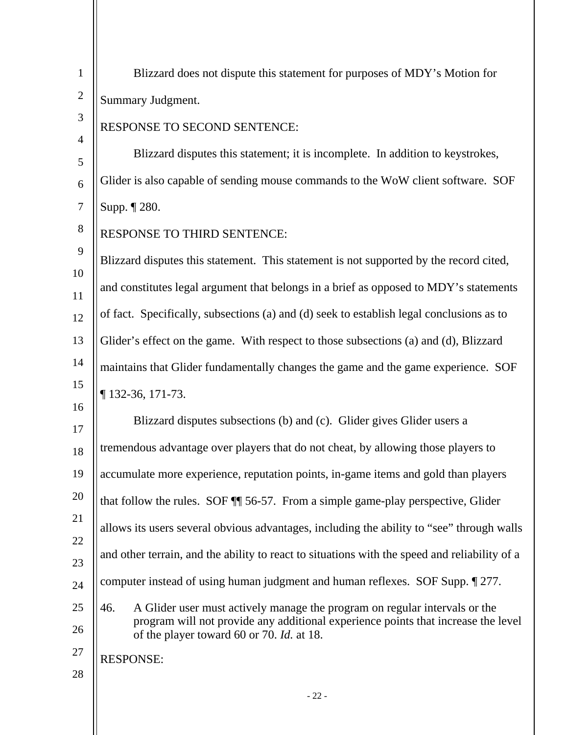| $\mathbf{1}$   | Blizzard does not dispute this statement for purposes of MDY's Motion for                                                      |
|----------------|--------------------------------------------------------------------------------------------------------------------------------|
| $\overline{2}$ | Summary Judgment.                                                                                                              |
| 3              | RESPONSE TO SECOND SENTENCE:                                                                                                   |
| $\overline{4}$ | Blizzard disputes this statement; it is incomplete. In addition to keystrokes,                                                 |
| 5<br>6         | Glider is also capable of sending mouse commands to the WoW client software. SOF                                               |
| $\tau$         | Supp. ¶ 280.                                                                                                                   |
| 8              | RESPONSE TO THIRD SENTENCE:                                                                                                    |
| 9              | Blizzard disputes this statement. This statement is not supported by the record cited,                                         |
| 10             | and constitutes legal argument that belongs in a brief as opposed to MDY's statements                                          |
| 11             | of fact. Specifically, subsections (a) and (d) seek to establish legal conclusions as to                                       |
| 12             |                                                                                                                                |
| 13             | Glider's effect on the game. With respect to those subsections (a) and (d), Blizzard                                           |
| 14             | maintains that Glider fundamentally changes the game and the game experience. SOF                                              |
| 15<br>16       | $\P$ 132-36, 171-73.                                                                                                           |
| 17             | Blizzard disputes subsections (b) and (c). Glider gives Glider users a                                                         |
| 18             | tremendous advantage over players that do not cheat, by allowing those players to                                              |
| 19             | accumulate more experience, reputation points, in-game items and gold than players                                             |
| 20             | that follow the rules. SOF 11 56-57. From a simple game-play perspective, Glider                                               |
| 21             | allows its users several obvious advantages, including the ability to "see" through walls                                      |
| 22<br>23       | and other terrain, and the ability to react to situations with the speed and reliability of a                                  |
| 24             | computer instead of using human judgment and human reflexes. SOF Supp. [277.                                                   |
| 25             | A Glider user must actively manage the program on regular intervals or the<br>46.                                              |
| 26             | program will not provide any additional experience points that increase the level<br>of the player toward 60 or 70. Id. at 18. |
| 27             | <b>RESPONSE:</b>                                                                                                               |
| 28             |                                                                                                                                |
|                | $-22-$                                                                                                                         |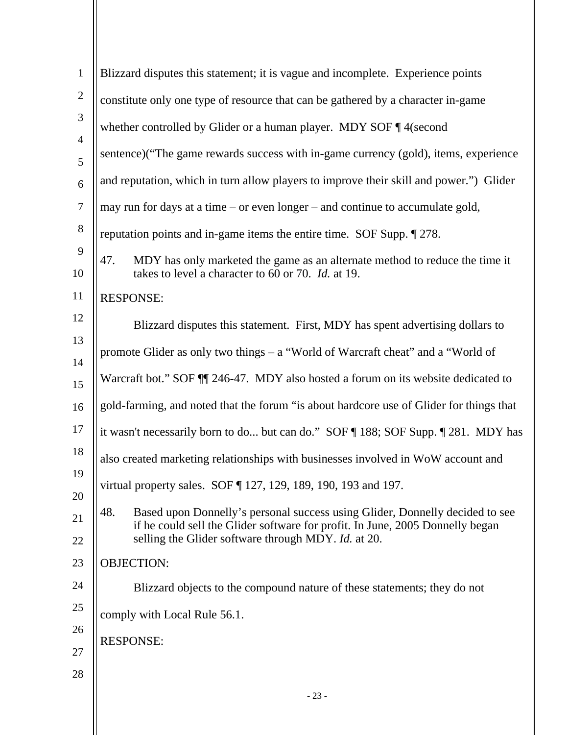| $\mathbf{1}$        | Blizzard disputes this statement; it is vague and incomplete. Experience points                                                                                      |  |
|---------------------|----------------------------------------------------------------------------------------------------------------------------------------------------------------------|--|
| $\overline{2}$      | constitute only one type of resource that can be gathered by a character in-game                                                                                     |  |
| 3                   | whether controlled by Glider or a human player. MDY SOF ¶4(second                                                                                                    |  |
| $\overline{4}$<br>5 | sentence)("The game rewards success with in-game currency (gold), items, experience                                                                                  |  |
| $\boldsymbol{6}$    | and reputation, which in turn allow players to improve their skill and power.") Glider                                                                               |  |
| $\tau$              | may run for days at a time – or even longer – and continue to accumulate gold,                                                                                       |  |
| $8\phantom{1}$      | reputation points and in-game items the entire time. SOF Supp. [278.]                                                                                                |  |
| 9<br>10             | MDY has only marketed the game as an alternate method to reduce the time it<br>47.<br>takes to level a character to 60 or 70. <i>Id.</i> at 19.                      |  |
| 11                  | <b>RESPONSE:</b>                                                                                                                                                     |  |
| 12                  | Blizzard disputes this statement. First, MDY has spent advertising dollars to                                                                                        |  |
| 13                  | promote Glider as only two things – a "World of Warcraft cheat" and a "World of                                                                                      |  |
| 14<br>15            | Warcraft bot." SOF II 246-47. MDY also hosted a forum on its website dedicated to                                                                                    |  |
| 16                  | gold-farming, and noted that the forum "is about hardcore use of Glider for things that                                                                              |  |
| 17                  | it wasn't necessarily born to do but can do." SOF ¶ 188; SOF Supp. ¶ 281. MDY has                                                                                    |  |
| 18                  | also created marketing relationships with businesses involved in WoW account and                                                                                     |  |
| 19<br>20            | virtual property sales. SOF 127, 129, 189, 190, 193 and 197.                                                                                                         |  |
| 21                  | 48.<br>Based upon Donnelly's personal success using Glider, Donnelly decided to see<br>if he could sell the Glider software for profit. In June, 2005 Donnelly began |  |
| 22                  | selling the Glider software through MDY. Id. at 20.                                                                                                                  |  |
| 23                  | <b>OBJECTION:</b>                                                                                                                                                    |  |
| 24                  | Blizzard objects to the compound nature of these statements; they do not                                                                                             |  |
| 25                  | comply with Local Rule 56.1.                                                                                                                                         |  |
| 26                  | <b>RESPONSE:</b>                                                                                                                                                     |  |
| 27                  |                                                                                                                                                                      |  |
| 28                  | $-23-$                                                                                                                                                               |  |
|                     |                                                                                                                                                                      |  |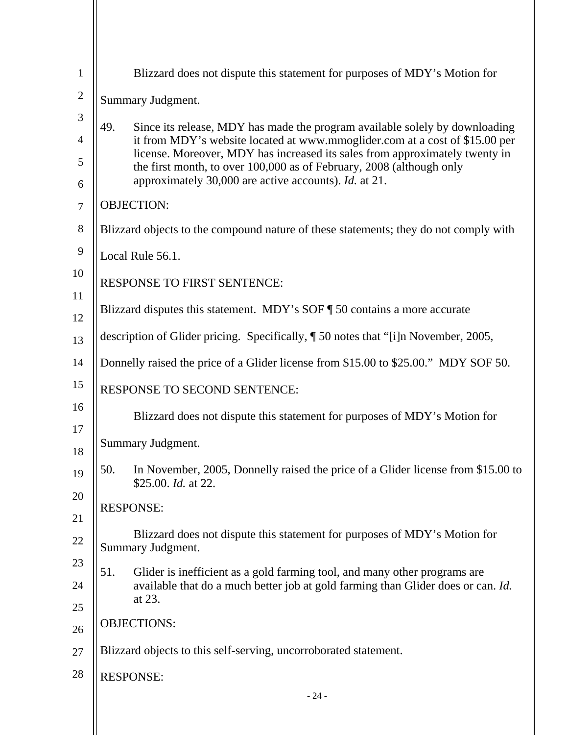| $\mathbf{1}$   | Blizzard does not dispute this statement for purposes of MDY's Motion for                                                                                  |  |
|----------------|------------------------------------------------------------------------------------------------------------------------------------------------------------|--|
| $\overline{2}$ | Summary Judgment.                                                                                                                                          |  |
| 3              | 49.<br>Since its release, MDY has made the program available solely by downloading                                                                         |  |
| $\overline{4}$ | it from MDY's website located at www.mmoglider.com at a cost of \$15.00 per<br>license. Moreover, MDY has increased its sales from approximately twenty in |  |
| 5<br>6         | the first month, to over 100,000 as of February, 2008 (although only<br>approximately 30,000 are active accounts). Id. at 21.                              |  |
| $\overline{7}$ | <b>OBJECTION:</b>                                                                                                                                          |  |
| 8              | Blizzard objects to the compound nature of these statements; they do not comply with                                                                       |  |
| 9              | Local Rule 56.1.                                                                                                                                           |  |
| 10             | <b>RESPONSE TO FIRST SENTENCE:</b>                                                                                                                         |  |
| 11<br>12       | Blizzard disputes this statement. MDY's SOF ¶ 50 contains a more accurate                                                                                  |  |
| 13             | description of Glider pricing. Specifically, ¶ 50 notes that "[i]n November, 2005,                                                                         |  |
| 14             | Donnelly raised the price of a Glider license from \$15.00 to \$25.00." MDY SOF 50.                                                                        |  |
| 15             | RESPONSE TO SECOND SENTENCE:                                                                                                                               |  |
| 16             | Blizzard does not dispute this statement for purposes of MDY's Motion for                                                                                  |  |
| 17<br>18       | Summary Judgment.                                                                                                                                          |  |
| 19             | 50.<br>In November, 2005, Donnelly raised the price of a Glider license from \$15.00 to                                                                    |  |
| 20             | \$25.00. <i>Id.</i> at 22.                                                                                                                                 |  |
| 21             | <b>RESPONSE:</b>                                                                                                                                           |  |
| 22             | Blizzard does not dispute this statement for purposes of MDY's Motion for<br>Summary Judgment.                                                             |  |
| 23             | 51.<br>Glider is inefficient as a gold farming tool, and many other programs are                                                                           |  |
| 24             | available that do a much better job at gold farming than Glider does or can. Id.<br>at 23.                                                                 |  |
| 25             | <b>OBJECTIONS:</b>                                                                                                                                         |  |
| 26             |                                                                                                                                                            |  |
| 27             | Blizzard objects to this self-serving, uncorroborated statement.                                                                                           |  |
| 28             | <b>RESPONSE:</b><br>$-24-$                                                                                                                                 |  |
|                |                                                                                                                                                            |  |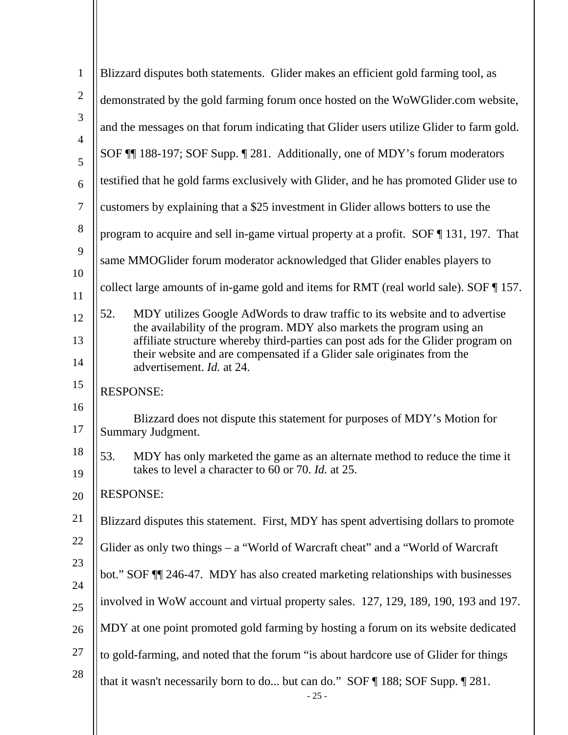| $\mathbf{1}$        | Blizzard disputes both statements. Glider makes an efficient gold farming tool, as                                                                                                      |
|---------------------|-----------------------------------------------------------------------------------------------------------------------------------------------------------------------------------------|
| $\overline{2}$      | demonstrated by the gold farming forum once hosted on the WoWGlider.com website,                                                                                                        |
| 3                   | and the messages on that forum indicating that Glider users utilize Glider to farm gold.                                                                                                |
| $\overline{4}$<br>5 | SOF ¶ 188-197; SOF Supp. 1281. Additionally, one of MDY's forum moderators                                                                                                              |
| $\boldsymbol{6}$    | testified that he gold farms exclusively with Glider, and he has promoted Glider use to                                                                                                 |
| $\boldsymbol{7}$    | customers by explaining that a \$25 investment in Glider allows botters to use the                                                                                                      |
| $8\,$               | program to acquire and sell in-game virtual property at a profit. $SOF \P 131$ , 197. That                                                                                              |
| 9                   | same MMOGlider forum moderator acknowledged that Glider enables players to                                                                                                              |
| 10                  | collect large amounts of in-game gold and items for RMT (real world sale). SOF ¶ 157.                                                                                                   |
| 11                  |                                                                                                                                                                                         |
| 12                  | 52.<br>MDY utilizes Google AdWords to draw traffic to its website and to advertise<br>the availability of the program. MDY also markets the program using an                            |
| 13<br>14            | affiliate structure whereby third-parties can post ads for the Glider program on<br>their website and are compensated if a Glider sale originates from the<br>advertisement. Id. at 24. |
| 15                  | <b>RESPONSE:</b>                                                                                                                                                                        |
| 16<br>17            | Blizzard does not dispute this statement for purposes of MDY's Motion for<br>Summary Judgment.                                                                                          |
| 18<br>19            | 53.<br>MDY has only marketed the game as an alternate method to reduce the time it<br>takes to level a character to 60 or 70. Id. at 25.                                                |
| 20                  | <b>RESPONSE:</b>                                                                                                                                                                        |
| 21                  | Blizzard disputes this statement. First, MDY has spent advertising dollars to promote                                                                                                   |
| 22                  | Glider as only two things $-$ a "World of Warcraft cheat" and a "World of Warcraft"                                                                                                     |
| 23                  | bot." SOF TI 246-47. MDY has also created marketing relationships with businesses                                                                                                       |
| 24                  | involved in WoW account and virtual property sales. 127, 129, 189, 190, 193 and 197.                                                                                                    |
| 25                  |                                                                                                                                                                                         |
| 26                  | MDY at one point promoted gold farming by hosting a forum on its website dedicated                                                                                                      |
| 27                  | to gold-farming, and noted that the forum "is about hardcore use of Glider for things                                                                                                   |
| 28                  | that it wasn't necessarily born to do but can do." SOF ¶ 188; SOF Supp. ¶ 281.<br>$-25-$                                                                                                |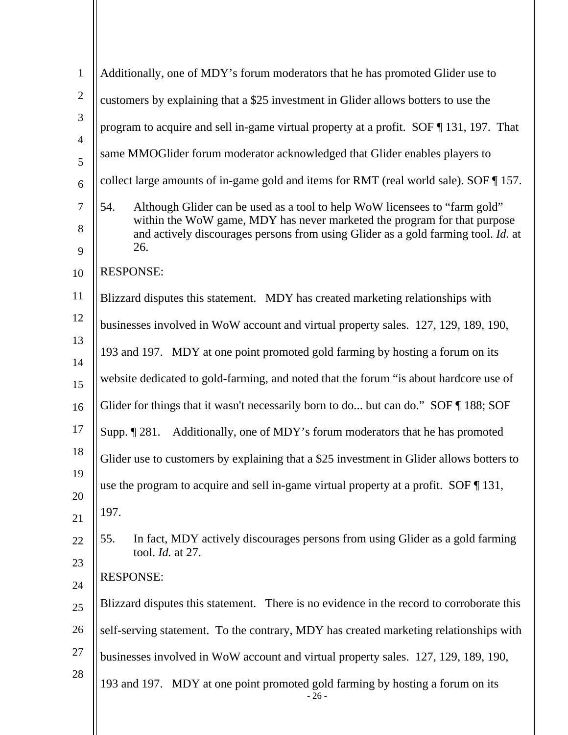| $\mathbf{1}$   | Additionally, one of MDY's forum moderators that he has promoted Glider use to                                                                                |
|----------------|---------------------------------------------------------------------------------------------------------------------------------------------------------------|
| $\mathbf{2}$   | customers by explaining that a \$25 investment in Glider allows botters to use the                                                                            |
| 3              |                                                                                                                                                               |
| $\overline{4}$ | program to acquire and sell in-game virtual property at a profit. SOF $\P$ 131, 197. That                                                                     |
| 5              | same MMOGlider forum moderator acknowledged that Glider enables players to                                                                                    |
| 6              | collect large amounts of in-game gold and items for RMT (real world sale). SOF 157.                                                                           |
| $\tau$         | Although Glider can be used as a tool to help WoW licensees to "farm gold"<br>54.                                                                             |
| 8              | within the WoW game, MDY has never marketed the program for that purpose<br>and actively discourages persons from using Glider as a gold farming tool. Id. at |
| 9              | 26.                                                                                                                                                           |
| 10             | <b>RESPONSE:</b>                                                                                                                                              |
| 11             | Blizzard disputes this statement. MDY has created marketing relationships with                                                                                |
| 12             | businesses involved in WoW account and virtual property sales. 127, 129, 189, 190,                                                                            |
| 13             | 193 and 197. MDY at one point promoted gold farming by hosting a forum on its                                                                                 |
| 14             | website dedicated to gold-farming, and noted that the forum "is about hardcore use of                                                                         |
| 15             |                                                                                                                                                               |
| 16             | Glider for things that it wasn't necessarily born to do but can do." SOF ¶188; SOF                                                                            |
| 17             | Additionally, one of MDY's forum moderators that he has promoted<br>Supp. $\P$ 281.                                                                           |
| 18             | Glider use to customers by explaining that a \$25 investment in Glider allows botters to                                                                      |
| 19<br>20       | use the program to acquire and sell in-game virtual property at a profit. SOF $\P$ 131,                                                                       |
| 21             | 197.                                                                                                                                                          |
| 22             | In fact, MDY actively discourages persons from using Glider as a gold farming<br>55.                                                                          |
| 23             | tool. <i>Id.</i> at 27.                                                                                                                                       |
| 24             | <b>RESPONSE:</b>                                                                                                                                              |
| 25             | Blizzard disputes this statement. There is no evidence in the record to corroborate this                                                                      |
| 26             | self-serving statement. To the contrary, MDY has created marketing relationships with                                                                         |
| 27             | businesses involved in WoW account and virtual property sales. 127, 129, 189, 190,                                                                            |
| 28             | 193 and 197. MDY at one point promoted gold farming by hosting a forum on its<br>$-26-$                                                                       |
|                |                                                                                                                                                               |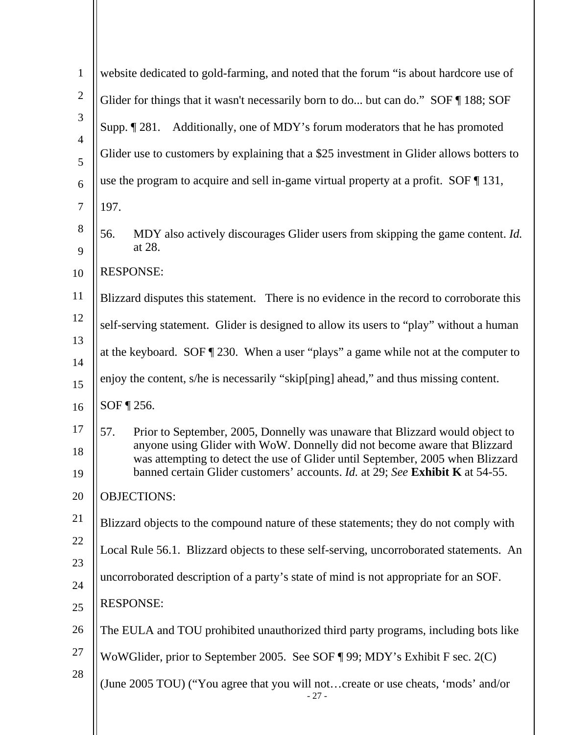| $\mathbf{1}$        | website dedicated to gold-farming, and noted that the forum "is about hardcore use of                                                                                                                                                               |
|---------------------|-----------------------------------------------------------------------------------------------------------------------------------------------------------------------------------------------------------------------------------------------------|
| $\mathbf{2}$        | Glider for things that it wasn't necessarily born to do but can do." SOF 188; SOF                                                                                                                                                                   |
| 3                   | Additionally, one of MDY's forum moderators that he has promoted<br>Supp. $\P$ 281.                                                                                                                                                                 |
| $\overline{4}$<br>5 | Glider use to customers by explaining that a \$25 investment in Glider allows botters to                                                                                                                                                            |
| 6                   | use the program to acquire and sell in-game virtual property at a profit. SOF $\P$ 131,                                                                                                                                                             |
| $\boldsymbol{7}$    | 197.                                                                                                                                                                                                                                                |
| 8<br>9              | 56.<br>MDY also actively discourages Glider users from skipping the game content. <i>Id.</i><br>at 28.                                                                                                                                              |
| 10                  | <b>RESPONSE:</b>                                                                                                                                                                                                                                    |
| 11                  | Blizzard disputes this statement. There is no evidence in the record to corroborate this                                                                                                                                                            |
| 12                  | self-serving statement. Glider is designed to allow its users to "play" without a human                                                                                                                                                             |
| 13                  | at the keyboard. SOF $\P$ 230. When a user "plays" a game while not at the computer to                                                                                                                                                              |
| 14<br>15            | enjoy the content, s/he is necessarily "skip[ping] ahead," and thus missing content.                                                                                                                                                                |
| 16                  | SOF ¶ 256.                                                                                                                                                                                                                                          |
| 17                  | 57.<br>Prior to September, 2005, Donnelly was unaware that Blizzard would object to                                                                                                                                                                 |
| 18<br>19            | anyone using Glider with WoW. Donnelly did not become aware that Blizzard<br>was attempting to detect the use of Glider until September, 2005 when Blizzard<br>banned certain Glider customers' accounts. <i>Id.</i> at 29; See Exhibit K at 54-55. |
| 20                  | <b>OBJECTIONS:</b>                                                                                                                                                                                                                                  |
| 21                  | Blizzard objects to the compound nature of these statements; they do not comply with                                                                                                                                                                |
| 22                  | Local Rule 56.1. Blizzard objects to these self-serving, uncorroborated statements. An                                                                                                                                                              |
| 23<br>24            | uncorroborated description of a party's state of mind is not appropriate for an SOF.                                                                                                                                                                |
| 25                  | <b>RESPONSE:</b>                                                                                                                                                                                                                                    |
| 26                  | The EULA and TOU prohibited unauthorized third party programs, including bots like                                                                                                                                                                  |
| 27                  | WoWGlider, prior to September 2005. See SOF ¶ 99; MDY's Exhibit F sec. 2(C)                                                                                                                                                                         |
| 28                  | (June 2005 TOU) ("You agree that you will notcreate or use cheats, 'mods' and/or<br>$-27-$                                                                                                                                                          |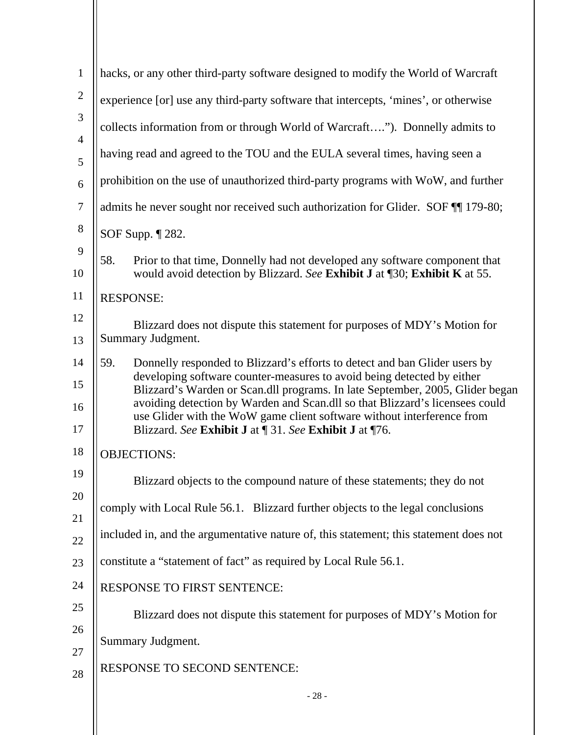| $\mathbf{1}$        | hacks, or any other third-party software designed to modify the World of Warcraft                                                                                                                                 |
|---------------------|-------------------------------------------------------------------------------------------------------------------------------------------------------------------------------------------------------------------|
| $\mathbf{2}$        | experience [or] use any third-party software that intercepts, 'mines', or otherwise                                                                                                                               |
| 3                   | collects information from or through World of Warcraft"). Donnelly admits to                                                                                                                                      |
| $\overline{4}$<br>5 | having read and agreed to the TOU and the EULA several times, having seen a                                                                                                                                       |
| 6                   | prohibition on the use of unauthorized third-party programs with WoW, and further                                                                                                                                 |
| $\boldsymbol{7}$    | admits he never sought nor received such authorization for Glider. SOF TI 179-80;                                                                                                                                 |
| $8\,$               | SOF Supp. ¶ 282.                                                                                                                                                                                                  |
| 9                   |                                                                                                                                                                                                                   |
| 10                  | 58.<br>Prior to that time, Donnelly had not developed any software component that<br>would avoid detection by Blizzard. See Exhibit J at [30; Exhibit K at 55.                                                    |
| 11                  | <b>RESPONSE:</b>                                                                                                                                                                                                  |
| 12                  | Blizzard does not dispute this statement for purposes of MDY's Motion for                                                                                                                                         |
| 13                  | Summary Judgment.                                                                                                                                                                                                 |
| 14                  | 59.<br>Donnelly responded to Blizzard's efforts to detect and ban Glider users by                                                                                                                                 |
| 15                  | developing software counter-measures to avoid being detected by either<br>Blizzard's Warden or Scan.dll programs. In late September, 2005, Glider began                                                           |
| 16<br>17            | avoiding detection by Warden and Scan.dll so that Blizzard's licensees could<br>use Glider with the WoW game client software without interference from<br>Blizzard. See Exhibit J at ¶ 31. See Exhibit J at ¶ 76. |
| 18                  | <b>OBJECTIONS:</b>                                                                                                                                                                                                |
| 19                  | Blizzard objects to the compound nature of these statements; they do not                                                                                                                                          |
| 20                  | comply with Local Rule 56.1. Blizzard further objects to the legal conclusions                                                                                                                                    |
| 21                  |                                                                                                                                                                                                                   |
| 22                  | included in, and the argumentative nature of, this statement; this statement does not                                                                                                                             |
| 23                  | constitute a "statement of fact" as required by Local Rule 56.1.                                                                                                                                                  |
| 24                  | RESPONSE TO FIRST SENTENCE:                                                                                                                                                                                       |
| 25                  | Blizzard does not dispute this statement for purposes of MDY's Motion for                                                                                                                                         |
| 26                  | Summary Judgment.                                                                                                                                                                                                 |
| 27                  |                                                                                                                                                                                                                   |
| 28                  | RESPONSE TO SECOND SENTENCE:                                                                                                                                                                                      |
|                     | $-28-$                                                                                                                                                                                                            |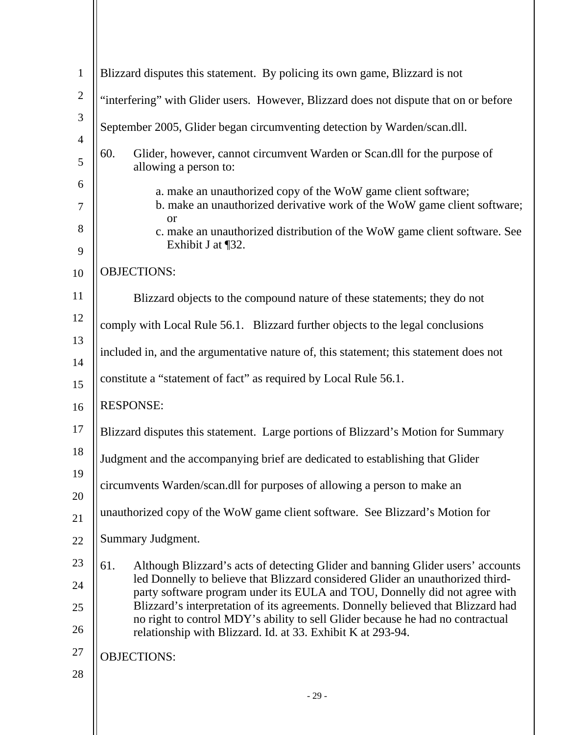| $\mathbf{1}$   | Blizzard disputes this statement. By policing its own game, Blizzard is not                                                                                        |
|----------------|--------------------------------------------------------------------------------------------------------------------------------------------------------------------|
| $\mathbf{2}$   | "interfering" with Glider users. However, Blizzard does not dispute that on or before                                                                              |
| $\mathfrak{Z}$ | September 2005, Glider began circumventing detection by Warden/scan.dll.                                                                                           |
| $\overline{4}$ |                                                                                                                                                                    |
| 5              | 60.<br>Glider, however, cannot circumvent Warden or Scan.dll for the purpose of<br>allowing a person to:                                                           |
| 6<br>7         | a. make an unauthorized copy of the WoW game client software;<br>b. make an unauthorized derivative work of the WoW game client software;                          |
| 8              | <b>or</b>                                                                                                                                                          |
| 9              | c. make an unauthorized distribution of the WoW game client software. See<br>Exhibit J at $\P$ 32.                                                                 |
| 10             | <b>OBJECTIONS:</b>                                                                                                                                                 |
| 11             | Blizzard objects to the compound nature of these statements; they do not                                                                                           |
| 12             | comply with Local Rule 56.1. Blizzard further objects to the legal conclusions                                                                                     |
| 13             | included in, and the argumentative nature of, this statement; this statement does not                                                                              |
| 14             |                                                                                                                                                                    |
| 15             | constitute a "statement of fact" as required by Local Rule 56.1.                                                                                                   |
| 16             | <b>RESPONSE:</b>                                                                                                                                                   |
| 17             | Blizzard disputes this statement. Large portions of Blizzard's Motion for Summary                                                                                  |
| 18             | Judgment and the accompanying brief are dedicated to establishing that Glider                                                                                      |
| 19             | circumvents Warden/scan.dll for purposes of allowing a person to make an                                                                                           |
| 20             |                                                                                                                                                                    |
| 21             | unauthorized copy of the WoW game client software. See Blizzard's Motion for                                                                                       |
| 22             | Summary Judgment.                                                                                                                                                  |
| 23             | 61.<br>Although Blizzard's acts of detecting Glider and banning Glider users' accounts                                                                             |
| 24             | led Donnelly to believe that Blizzard considered Glider an unauthorized third-<br>party software program under its EULA and TOU, Donnelly did not agree with       |
| 25             | Blizzard's interpretation of its agreements. Donnelly believed that Blizzard had<br>no right to control MDY's ability to sell Glider because he had no contractual |
| 26             | relationship with Blizzard. Id. at 33. Exhibit K at 293-94.                                                                                                        |
| 27             | <b>OBJECTIONS:</b>                                                                                                                                                 |
| 28             |                                                                                                                                                                    |
|                | $-29-$                                                                                                                                                             |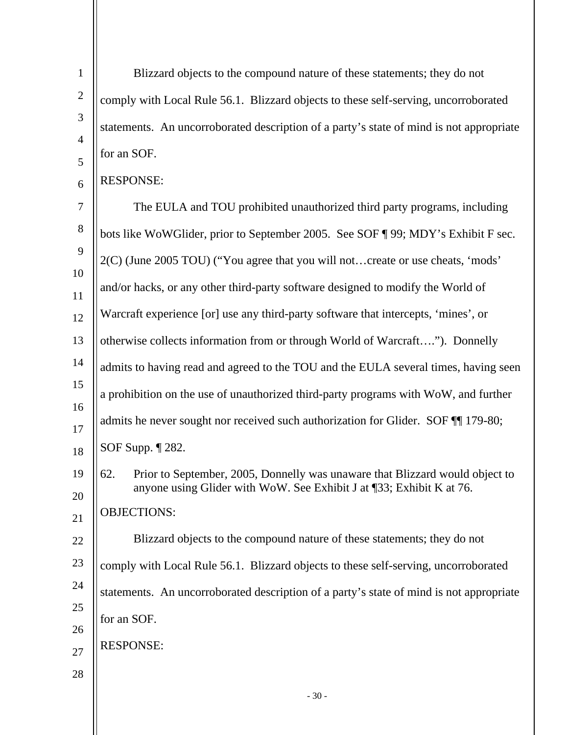Blizzard objects to the compound nature of these statements; they do not comply with Local Rule 56.1. Blizzard objects to these self-serving, uncorroborated statements. An uncorroborated description of a party's state of mind is not appropriate for an SOF.

## 6 RESPONSE:

1

2

3

4

5

 $-30-$ 7 8 9 10 11 12 13 14 15 16 17 18 19 20 21 22 23 24 25 26 27 28 The EULA and TOU prohibited unauthorized third party programs, including bots like WoWGlider, prior to September 2005. See SOF ¶ 99; MDY's Exhibit F sec. 2(C) (June 2005 TOU) ("You agree that you will not…create or use cheats, 'mods' and/or hacks, or any other third-party software designed to modify the World of Warcraft experience [or] use any third-party software that intercepts, 'mines', or otherwise collects information from or through World of Warcraft…."). Donnelly admits to having read and agreed to the TOU and the EULA several times, having seen a prohibition on the use of unauthorized third-party programs with WoW, and further admits he never sought nor received such authorization for Glider. SOF ¶¶ 179-80; SOF Supp. ¶ 282. 62. Prior to September, 2005, Donnelly was unaware that Blizzard would object to anyone using Glider with WoW. See Exhibit J at ¶33; Exhibit K at 76. OBJECTIONS: Blizzard objects to the compound nature of these statements; they do not comply with Local Rule 56.1. Blizzard objects to these self-serving, uncorroborated statements. An uncorroborated description of a party's state of mind is not appropriate for an SOF. RESPONSE: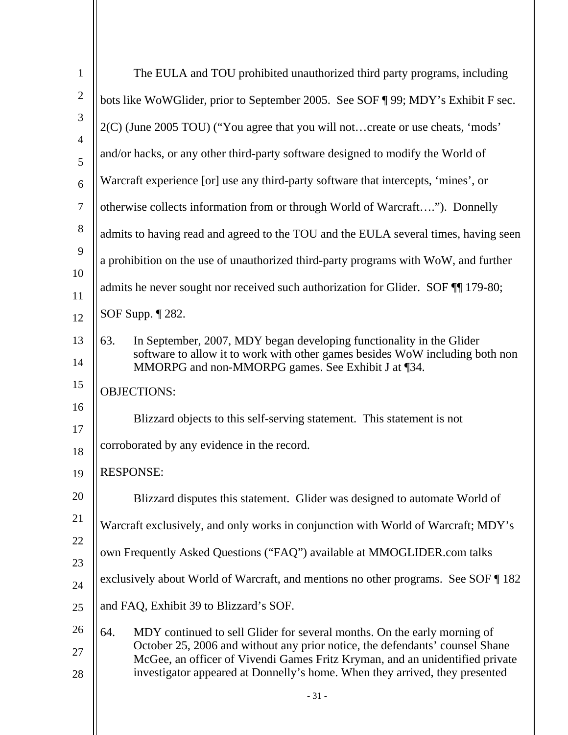| $\mathbf{1}$        | The EULA and TOU prohibited unauthorized third party programs, including                                                                                                                                          |
|---------------------|-------------------------------------------------------------------------------------------------------------------------------------------------------------------------------------------------------------------|
| $\mathbf{2}$        | bots like WoWGlider, prior to September 2005. See SOF ¶ 99; MDY's Exhibit F sec.                                                                                                                                  |
| 3                   | 2(C) (June 2005 TOU) ("You agree that you will notcreate or use cheats, 'mods'                                                                                                                                    |
| $\overline{4}$<br>5 | and/or hacks, or any other third-party software designed to modify the World of                                                                                                                                   |
| 6                   | Warcraft experience [or] use any third-party software that intercepts, 'mines', or                                                                                                                                |
| $\boldsymbol{7}$    | otherwise collects information from or through World of Warcraft"). Donnelly                                                                                                                                      |
| 8                   | admits to having read and agreed to the TOU and the EULA several times, having seen                                                                                                                               |
| 9                   | a prohibition on the use of unauthorized third-party programs with WoW, and further                                                                                                                               |
| 10<br>11            | admits he never sought nor received such authorization for Glider. SOF TI 179-80;                                                                                                                                 |
| 12                  | SOF Supp. ¶ 282.                                                                                                                                                                                                  |
| 13<br>14            | In September, 2007, MDY began developing functionality in the Glider<br>63.<br>software to allow it to work with other games besides WoW including both non<br>MMORPG and non-MMORPG games. See Exhibit J at ¶34. |
| 15                  | <b>OBJECTIONS:</b>                                                                                                                                                                                                |
| 16                  | Blizzard objects to this self-serving statement. This statement is not                                                                                                                                            |
| 17<br>18            | corroborated by any evidence in the record.                                                                                                                                                                       |
| 19                  | <b>RESPONSE:</b>                                                                                                                                                                                                  |
| 20                  | Blizzard disputes this statement. Glider was designed to automate World of                                                                                                                                        |
| 21                  | Warcraft exclusively, and only works in conjunction with World of Warcraft; MDY's                                                                                                                                 |
| 22                  | own Frequently Asked Questions ("FAQ") available at MMOGLIDER.com talks                                                                                                                                           |
| 23<br>24            | exclusively about World of Warcraft, and mentions no other programs. See SOF 182                                                                                                                                  |
| 25                  | and FAQ, Exhibit 39 to Blizzard's SOF.                                                                                                                                                                            |
| 26                  | MDY continued to sell Glider for several months. On the early morning of<br>64.                                                                                                                                   |
| 27                  | October 25, 2006 and without any prior notice, the defendants' counsel Shane<br>McGee, an officer of Vivendi Games Fritz Kryman, and an unidentified private                                                      |
| 28                  | investigator appeared at Donnelly's home. When they arrived, they presented                                                                                                                                       |
|                     | $-31-$                                                                                                                                                                                                            |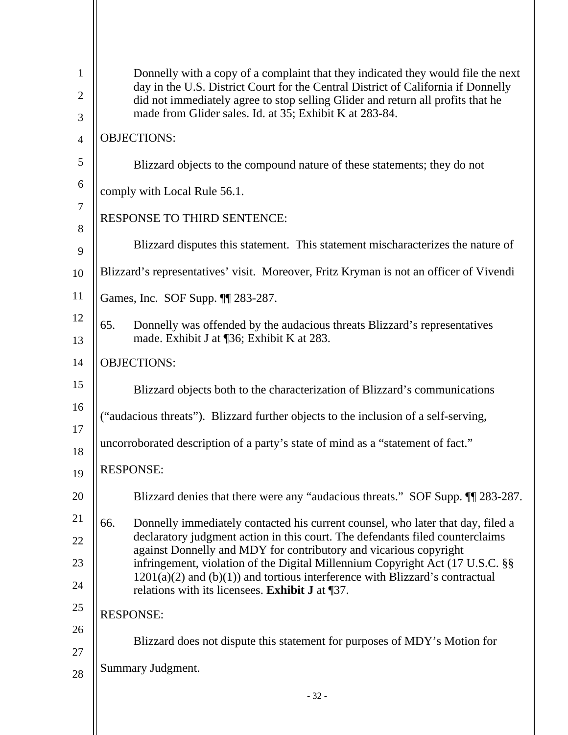| $\mathbf{1}$   | Donnelly with a copy of a complaint that they indicated they would file the next<br>day in the U.S. District Court for the Central District of California if Donnelly |
|----------------|-----------------------------------------------------------------------------------------------------------------------------------------------------------------------|
| $\overline{2}$ | did not immediately agree to stop selling Glider and return all profits that he                                                                                       |
| 3              | made from Glider sales. Id. at 35; Exhibit K at 283-84.                                                                                                               |
| $\overline{4}$ | <b>OBJECTIONS:</b>                                                                                                                                                    |
| 5              | Blizzard objects to the compound nature of these statements; they do not                                                                                              |
| 6              | comply with Local Rule 56.1.                                                                                                                                          |
| $\tau$<br>8    | <b>RESPONSE TO THIRD SENTENCE:</b>                                                                                                                                    |
| 9              | Blizzard disputes this statement. This statement mischaracterizes the nature of                                                                                       |
| 10             | Blizzard's representatives' visit. Moreover, Fritz Kryman is not an officer of Vivendi                                                                                |
| 11             | Games, Inc. SOF Supp. 11 283-287.                                                                                                                                     |
| 12<br>13       | 65.<br>Donnelly was offended by the audacious threats Blizzard's representatives<br>made. Exhibit J at [36; Exhibit K at 283.                                         |
| 14             | <b>OBJECTIONS:</b>                                                                                                                                                    |
| 15             | Blizzard objects both to the characterization of Blizzard's communications                                                                                            |
| 16             | ("audacious threats"). Blizzard further objects to the inclusion of a self-serving,                                                                                   |
| 17<br>18       | uncorroborated description of a party's state of mind as a "statement of fact."                                                                                       |
| 19             | <b>RESPONSE:</b>                                                                                                                                                      |
| 20             | Blizzard denies that there were any "audacious threats." SOF Supp. 11 283-287.                                                                                        |
| 21             | 66.<br>Donnelly immediately contacted his current counsel, who later that day, filed a                                                                                |
| 22             | declaratory judgment action in this court. The defendants filed counterclaims                                                                                         |
| 23             | against Donnelly and MDY for contributory and vicarious copyright<br>infringement, violation of the Digital Millennium Copyright Act (17 U.S.C. §§                    |
| 24             | $1201(a)(2)$ and (b)(1)) and tortious interference with Blizzard's contractual<br>relations with its licensees. Exhibit J at ¶37.                                     |
| 25             | <b>RESPONSE:</b>                                                                                                                                                      |
| 26             |                                                                                                                                                                       |
| 27             | Blizzard does not dispute this statement for purposes of MDY's Motion for                                                                                             |
| 28             | Summary Judgment.                                                                                                                                                     |
|                | $-32-$                                                                                                                                                                |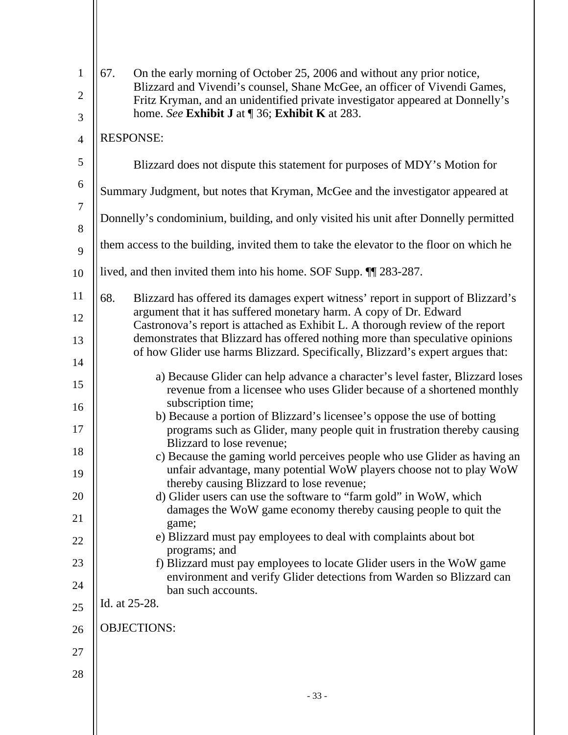| $\mathbf{1}$<br>$\overline{2}$<br>3 | 67.<br>On the early morning of October 25, 2006 and without any prior notice,<br>Blizzard and Vivendi's counsel, Shane McGee, an officer of Vivendi Games,<br>Fritz Kryman, and an unidentified private investigator appeared at Donnelly's<br>home. See Exhibit J at ¶ 36; Exhibit K at 283. |
|-------------------------------------|-----------------------------------------------------------------------------------------------------------------------------------------------------------------------------------------------------------------------------------------------------------------------------------------------|
| $\overline{4}$                      | <b>RESPONSE:</b>                                                                                                                                                                                                                                                                              |
| 5                                   | Blizzard does not dispute this statement for purposes of MDY's Motion for                                                                                                                                                                                                                     |
| 6                                   | Summary Judgment, but notes that Kryman, McGee and the investigator appeared at                                                                                                                                                                                                               |
| $\tau$                              | Donnelly's condominium, building, and only visited his unit after Donnelly permitted                                                                                                                                                                                                          |
| 8<br>9                              | them access to the building, invited them to take the elevator to the floor on which he                                                                                                                                                                                                       |
| 10                                  | lived, and then invited them into his home. SOF Supp. II 283-287.                                                                                                                                                                                                                             |
| 11                                  | 68.<br>Blizzard has offered its damages expert witness' report in support of Blizzard's                                                                                                                                                                                                       |
| 12                                  | argument that it has suffered monetary harm. A copy of Dr. Edward                                                                                                                                                                                                                             |
| 13                                  | Castronova's report is attached as Exhibit L. A thorough review of the report<br>demonstrates that Blizzard has offered nothing more than speculative opinions                                                                                                                                |
| 14                                  | of how Glider use harms Blizzard. Specifically, Blizzard's expert argues that:                                                                                                                                                                                                                |
| 15                                  | a) Because Glider can help advance a character's level faster, Blizzard loses<br>revenue from a licensee who uses Glider because of a shortened monthly                                                                                                                                       |
| 16<br>17                            | subscription time;<br>b) Because a portion of Blizzard's licensee's oppose the use of botting<br>programs such as Glider, many people quit in frustration thereby causing                                                                                                                     |
| 18                                  | Blizzard to lose revenue;                                                                                                                                                                                                                                                                     |
| 19                                  | c) Because the gaming world perceives people who use Glider as having an<br>unfair advantage, many potential WoW players choose not to play WoW                                                                                                                                               |
| 20                                  | thereby causing Blizzard to lose revenue;<br>d) Glider users can use the software to "farm gold" in WoW, which                                                                                                                                                                                |
| 21                                  | damages the WoW game economy thereby causing people to quit the<br>game;                                                                                                                                                                                                                      |
| 22                                  | e) Blizzard must pay employees to deal with complaints about bot                                                                                                                                                                                                                              |
| 23                                  | programs; and<br>f) Blizzard must pay employees to locate Glider users in the WoW game                                                                                                                                                                                                        |
| 24                                  | environment and verify Glider detections from Warden so Blizzard can<br>ban such accounts.                                                                                                                                                                                                    |
| 25                                  | Id. at 25-28.                                                                                                                                                                                                                                                                                 |
| 26                                  | <b>OBJECTIONS:</b>                                                                                                                                                                                                                                                                            |
| 27                                  |                                                                                                                                                                                                                                                                                               |
| 28                                  |                                                                                                                                                                                                                                                                                               |
|                                     | $-33-$                                                                                                                                                                                                                                                                                        |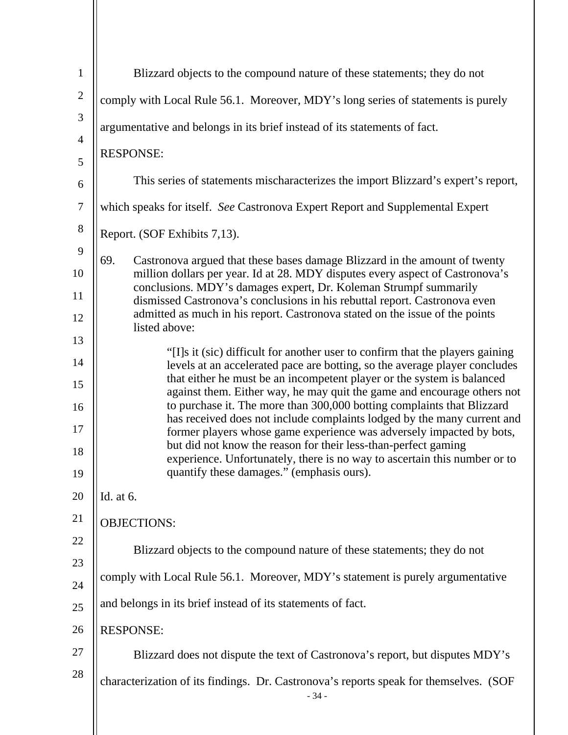| $\mathbf{1}$          | Blizzard objects to the compound nature of these statements; they do not                                                                                           |
|-----------------------|--------------------------------------------------------------------------------------------------------------------------------------------------------------------|
| $\overline{2}$        | comply with Local Rule 56.1. Moreover, MDY's long series of statements is purely                                                                                   |
| 3                     | argumentative and belongs in its brief instead of its statements of fact.                                                                                          |
| $\overline{4}$        | <b>RESPONSE:</b>                                                                                                                                                   |
| 5                     | This series of statements mischaracterizes the import Blizzard's expert's report,                                                                                  |
| 6<br>$\boldsymbol{7}$ |                                                                                                                                                                    |
| $8\,$                 | which speaks for itself. See Castronova Expert Report and Supplemental Expert                                                                                      |
| 9                     | Report. (SOF Exhibits 7,13).                                                                                                                                       |
| 10                    | 69.<br>Castronova argued that these bases damage Blizzard in the amount of twenty<br>million dollars per year. Id at 28. MDY disputes every aspect of Castronova's |
| 11                    | conclusions. MDY's damages expert, Dr. Koleman Strumpf summarily                                                                                                   |
| 12                    | dismissed Castronova's conclusions in his rebuttal report. Castronova even<br>admitted as much in his report. Castronova stated on the issue of the points         |
| 13                    | listed above:                                                                                                                                                      |
| 14                    | "[I]s it (sic) difficult for another user to confirm that the players gaining<br>levels at an accelerated pace are botting, so the average player concludes        |
| 15                    | that either he must be an incompetent player or the system is balanced<br>against them. Either way, he may quit the game and encourage others not                  |
| 16                    | to purchase it. The more than 300,000 botting complaints that Blizzard<br>has received does not include complaints lodged by the many current and                  |
| 17                    | former players whose game experience was adversely impacted by bots,                                                                                               |
| 18                    | but did not know the reason for their less-than-perfect gaming<br>experience. Unfortunately, there is no way to ascertain this number or to                        |
| 19                    | quantify these damages." (emphasis ours).                                                                                                                          |
| 20                    | Id. at 6.                                                                                                                                                          |
| 21                    | <b>OBJECTIONS:</b>                                                                                                                                                 |
| 22                    | Blizzard objects to the compound nature of these statements; they do not                                                                                           |
| 23<br>24              | comply with Local Rule 56.1. Moreover, MDY's statement is purely argumentative                                                                                     |
| 25                    | and belongs in its brief instead of its statements of fact.                                                                                                        |
| 26                    | <b>RESPONSE:</b>                                                                                                                                                   |
| 27                    | Blizzard does not dispute the text of Castronova's report, but disputes MDY's                                                                                      |
| 28                    |                                                                                                                                                                    |
|                       | characterization of its findings. Dr. Castronova's reports speak for themselves. (SOF<br>$-34-$                                                                    |
|                       |                                                                                                                                                                    |

 $\parallel$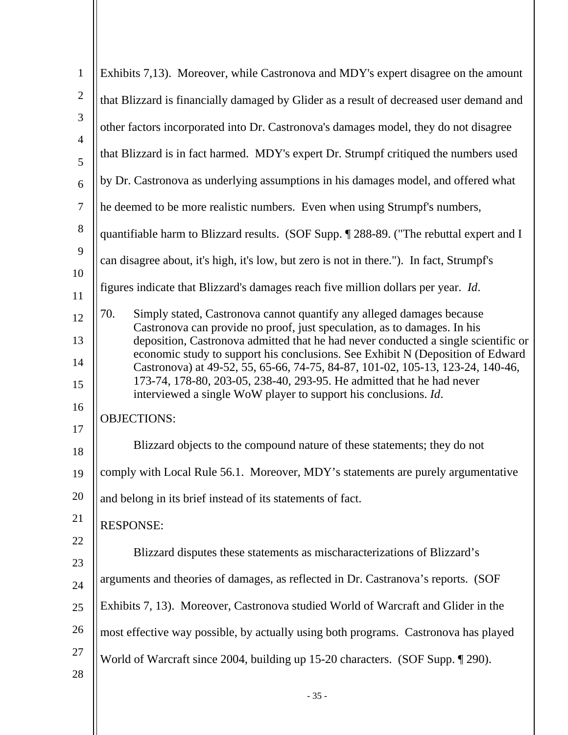| $\mathbf{1}$        | Exhibits 7,13). Moreover, while Castronova and MDY's expert disagree on the amount                                                                                                                                                        |
|---------------------|-------------------------------------------------------------------------------------------------------------------------------------------------------------------------------------------------------------------------------------------|
| $\overline{2}$      | that Blizzard is financially damaged by Glider as a result of decreased user demand and                                                                                                                                                   |
| 3                   | other factors incorporated into Dr. Castronova's damages model, they do not disagree                                                                                                                                                      |
| $\overline{4}$<br>5 | that Blizzard is in fact harmed. MDY's expert Dr. Strumpf critiqued the numbers used                                                                                                                                                      |
| 6                   | by Dr. Castronova as underlying assumptions in his damages model, and offered what                                                                                                                                                        |
| $\overline{7}$      | he deemed to be more realistic numbers. Even when using Strumpf's numbers,                                                                                                                                                                |
| 8                   | quantifiable harm to Blizzard results. (SOF Supp. 1288-89. ("The rebuttal expert and I                                                                                                                                                    |
| 9                   | can disagree about, it's high, it's low, but zero is not in there."). In fact, Strumpf's                                                                                                                                                  |
| 10<br>11            | figures indicate that Blizzard's damages reach five million dollars per year. <i>Id.</i>                                                                                                                                                  |
| 12                  | 70.<br>Simply stated, Castronova cannot quantify any alleged damages because                                                                                                                                                              |
| 13                  | Castronova can provide no proof, just speculation, as to damages. In his<br>deposition, Castronova admitted that he had never conducted a single scientific or                                                                            |
| 14<br>15            | economic study to support his conclusions. See Exhibit N (Deposition of Edward<br>Castronova) at 49-52, 55, 65-66, 74-75, 84-87, 101-02, 105-13, 123-24, 140-46,<br>173-74, 178-80, 203-05, 238-40, 293-95. He admitted that he had never |
| 16                  | interviewed a single WoW player to support his conclusions. Id.                                                                                                                                                                           |
| 17                  | <b>OBJECTIONS:</b>                                                                                                                                                                                                                        |
| 18                  | Blizzard objects to the compound nature of these statements; they do not                                                                                                                                                                  |
| 19                  | comply with Local Rule 56.1. Moreover, MDY's statements are purely argumentative                                                                                                                                                          |
| 20                  | and belong in its brief instead of its statements of fact.                                                                                                                                                                                |
| 21                  | <b>RESPONSE:</b>                                                                                                                                                                                                                          |
| 22                  | Blizzard disputes these statements as mischaracterizations of Blizzard's                                                                                                                                                                  |
| 23                  |                                                                                                                                                                                                                                           |
| 24                  | arguments and theories of damages, as reflected in Dr. Castranova's reports. (SOF                                                                                                                                                         |
| 25                  | Exhibits 7, 13). Moreover, Castronova studied World of Warcraft and Glider in the                                                                                                                                                         |
| 26                  | most effective way possible, by actually using both programs. Castronova has played                                                                                                                                                       |
| 27                  | World of Warcraft since 2004, building up 15-20 characters. (SOF Supp. 1990).                                                                                                                                                             |
| 28                  |                                                                                                                                                                                                                                           |
|                     | $-35-$                                                                                                                                                                                                                                    |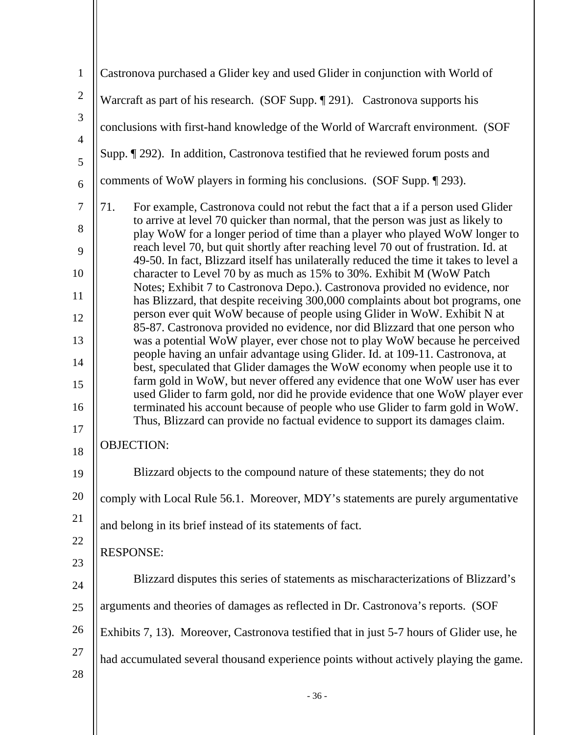| $\mathbf{1}$        | Castronova purchased a Glider key and used Glider in conjunction with World of                                                                                               |
|---------------------|------------------------------------------------------------------------------------------------------------------------------------------------------------------------------|
| $\mathbf{2}$        | Warcraft as part of his research. (SOF Supp. ¶ 291). Castronova supports his                                                                                                 |
| 3                   | conclusions with first-hand knowledge of the World of Warcraft environment. (SOF                                                                                             |
| $\overline{4}$<br>5 | Supp. [292). In addition, Castronova testified that he reviewed forum posts and                                                                                              |
| 6                   | comments of WoW players in forming his conclusions. (SOF Supp. 1293).                                                                                                        |
| $\boldsymbol{7}$    | 71.<br>For example, Castronova could not rebut the fact that a if a person used Glider                                                                                       |
| 8                   | to arrive at level 70 quicker than normal, that the person was just as likely to<br>play WoW for a longer period of time than a player who played WoW longer to              |
| 9                   | reach level 70, but quit shortly after reaching level 70 out of frustration. Id. at<br>49-50. In fact, Blizzard itself has unilaterally reduced the time it takes to level a |
| 10                  | character to Level 70 by as much as 15% to 30%. Exhibit M (WoW Patch<br>Notes; Exhibit 7 to Castronova Depo.). Castronova provided no evidence, nor                          |
| 11<br>12            | has Blizzard, that despite receiving 300,000 complaints about bot programs, one<br>person ever quit WoW because of people using Glider in WoW. Exhibit N at                  |
| 13                  | 85-87. Castronova provided no evidence, nor did Blizzard that one person who<br>was a potential WoW player, ever chose not to play WoW because he perceived                  |
| 14                  | people having an unfair advantage using Glider. Id. at 109-11. Castronova, at<br>best, speculated that Glider damages the WoW economy when people use it to                  |
| 15                  | farm gold in WoW, but never offered any evidence that one WoW user has ever<br>used Glider to farm gold, nor did he provide evidence that one WoW player ever                |
| 16                  | terminated his account because of people who use Glider to farm gold in WoW.<br>Thus, Blizzard can provide no factual evidence to support its damages claim.                 |
| 17<br>18            | <b>OBJECTION:</b>                                                                                                                                                            |
| 19                  | Blizzard objects to the compound nature of these statements; they do not                                                                                                     |
| 20                  | comply with Local Rule 56.1. Moreover, MDY's statements are purely argumentative                                                                                             |
| 21                  | and belong in its brief instead of its statements of fact.                                                                                                                   |
| 22                  | <b>RESPONSE:</b>                                                                                                                                                             |
| 23                  | Blizzard disputes this series of statements as mischaracterizations of Blizzard's                                                                                            |
| 24                  | arguments and theories of damages as reflected in Dr. Castronova's reports. (SOF                                                                                             |
| 25<br>26            |                                                                                                                                                                              |
| 27                  | Exhibits 7, 13). Moreover, Castronova testified that in just 5-7 hours of Glider use, he                                                                                     |
| 28                  | had accumulated several thousand experience points without actively playing the game.                                                                                        |
|                     | $-36-$                                                                                                                                                                       |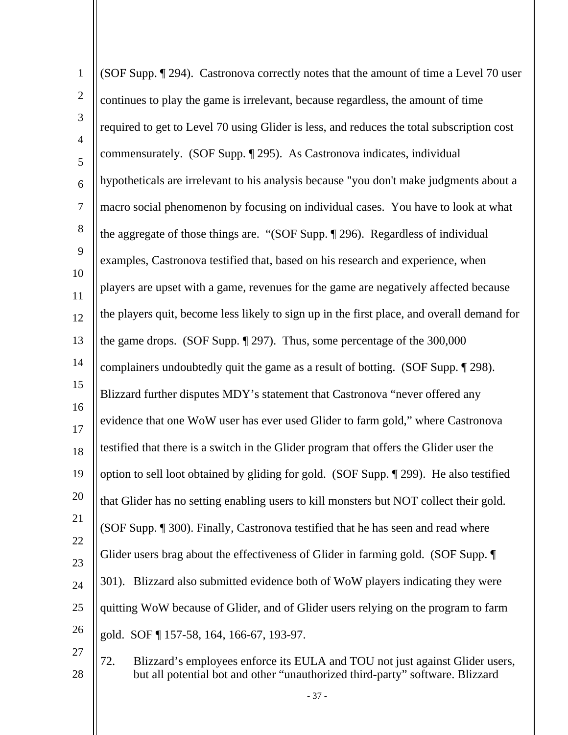| $\mathbf{1}$        | (SOF Supp. 194). Castronova correctly notes that the amount of time a Level 70 user                                                                                  |
|---------------------|----------------------------------------------------------------------------------------------------------------------------------------------------------------------|
| $\overline{2}$      | continues to play the game is irrelevant, because regardless, the amount of time                                                                                     |
| 3                   | required to get to Level 70 using Glider is less, and reduces the total subscription cost                                                                            |
| $\overline{4}$<br>5 | commensurately. (SOF Supp. ¶ 295). As Castronova indicates, individual                                                                                               |
| 6                   | hypotheticals are irrelevant to his analysis because "you don't make judgments about a                                                                               |
| $\overline{7}$      | macro social phenomenon by focusing on individual cases. You have to look at what                                                                                    |
| $8\phantom{1}$      | the aggregate of those things are. "(SOF Supp. 1996). Regardless of individual                                                                                       |
| 9                   | examples, Castronova testified that, based on his research and experience, when                                                                                      |
| 10<br>11            | players are upset with a game, revenues for the game are negatively affected because                                                                                 |
| 12                  | the players quit, become less likely to sign up in the first place, and overall demand for                                                                           |
| 13                  | the game drops. (SOF Supp. $\S$ 297). Thus, some percentage of the 300,000                                                                                           |
| 14                  | complainers undoubtedly quit the game as a result of botting. (SOF Supp. 1298).                                                                                      |
| 15                  | Blizzard further disputes MDY's statement that Castronova "never offered any                                                                                         |
| 16<br>17            | evidence that one WoW user has ever used Glider to farm gold," where Castronova                                                                                      |
| 18                  | testified that there is a switch in the Glider program that offers the Glider user the                                                                               |
| 19                  | option to sell loot obtained by gliding for gold. (SOF Supp. 1999). He also testified                                                                                |
| 20                  | that Glider has no setting enabling users to kill monsters but NOT collect their gold.                                                                               |
| 21                  | (SOF Supp. ¶ 300). Finally, Castronova testified that he has seen and read where                                                                                     |
| 22<br>23            | Glider users brag about the effectiveness of Glider in farming gold. (SOF Supp. ¶                                                                                    |
| 24                  | 301). Blizzard also submitted evidence both of WoW players indicating they were                                                                                      |
| 25                  | quitting WoW because of Glider, and of Glider users relying on the program to farm                                                                                   |
| 26                  | gold. SOF 157-58, 164, 166-67, 193-97.                                                                                                                               |
| 27<br>28            | 72.<br>Blizzard's employees enforce its EULA and TOU not just against Glider users,<br>but all potential bot and other "unauthorized third-party" software. Blizzard |

- 37 -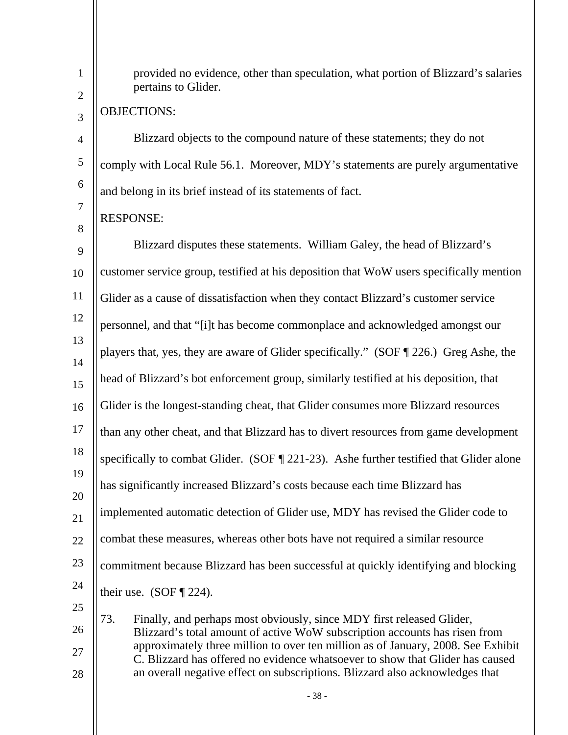| $\mathbf{1}$   | provided no evidence, other than speculation, what portion of Blizzard's salaries<br>pertains to Glider.                                                          |  |  |
|----------------|-------------------------------------------------------------------------------------------------------------------------------------------------------------------|--|--|
| $\mathbf{2}$   | <b>OBJECTIONS:</b>                                                                                                                                                |  |  |
| 3              |                                                                                                                                                                   |  |  |
| $\overline{4}$ | Blizzard objects to the compound nature of these statements; they do not                                                                                          |  |  |
| $\mathfrak s$  | comply with Local Rule 56.1. Moreover, MDY's statements are purely argumentative                                                                                  |  |  |
| 6              | and belong in its brief instead of its statements of fact.                                                                                                        |  |  |
| 7              | <b>RESPONSE:</b>                                                                                                                                                  |  |  |
| 8              |                                                                                                                                                                   |  |  |
| 9              | Blizzard disputes these statements. William Galey, the head of Blizzard's                                                                                         |  |  |
| 10             | customer service group, testified at his deposition that WoW users specifically mention                                                                           |  |  |
| 11             | Glider as a cause of dissatisfaction when they contact Blizzard's customer service                                                                                |  |  |
| 12             | personnel, and that "[i]t has become commonplace and acknowledged amongst our                                                                                     |  |  |
| 13             | players that, yes, they are aware of Glider specifically." (SOF [226.) Greg Ashe, the                                                                             |  |  |
| 14             |                                                                                                                                                                   |  |  |
| 15             | head of Blizzard's bot enforcement group, similarly testified at his deposition, that                                                                             |  |  |
| 16             | Glider is the longest-standing cheat, that Glider consumes more Blizzard resources                                                                                |  |  |
| 17             | than any other cheat, and that Blizzard has to divert resources from game development                                                                             |  |  |
| 18             | specifically to combat Glider. (SOF $\P$ 221-23). Ashe further testified that Glider alone                                                                        |  |  |
| 19             | has significantly increased Blizzard's costs because each time Blizzard has                                                                                       |  |  |
| 20<br>21       | implemented automatic detection of Glider use, MDY has revised the Glider code to                                                                                 |  |  |
| 22             | combat these measures, whereas other bots have not required a similar resource                                                                                    |  |  |
| 23             | commitment because Blizzard has been successful at quickly identifying and blocking                                                                               |  |  |
| 24             | their use. (SOF $\P$ 224).                                                                                                                                        |  |  |
| 25             |                                                                                                                                                                   |  |  |
| 26             | 73.<br>Finally, and perhaps most obviously, since MDY first released Glider,<br>Blizzard's total amount of active WoW subscription accounts has risen from        |  |  |
| 27             | approximately three million to over ten million as of January, 2008. See Exhibit<br>C. Blizzard has offered no evidence whatsoever to show that Glider has caused |  |  |
| 28             | an overall negative effect on subscriptions. Blizzard also acknowledges that                                                                                      |  |  |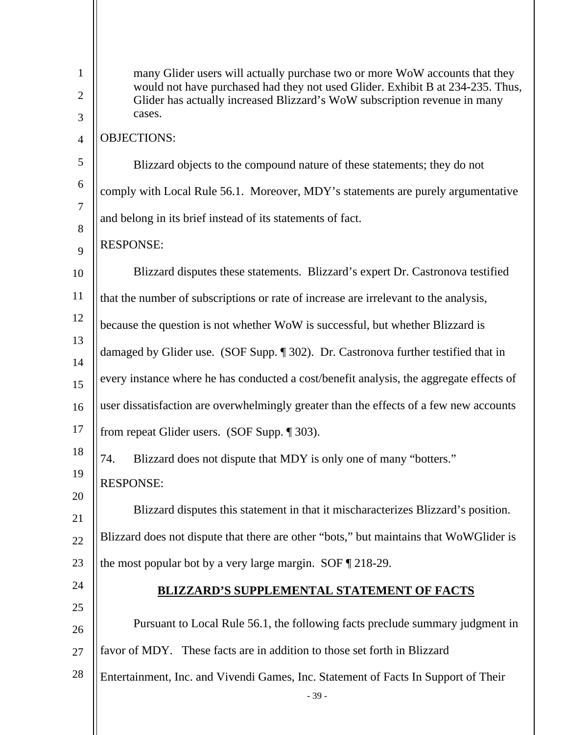| $\mathbf{1}$   | many Glider users will actually purchase two or more WoW accounts that they<br>would not have purchased had they not used Glider. Exhibit B at 234-235. Thus, |  |  |
|----------------|---------------------------------------------------------------------------------------------------------------------------------------------------------------|--|--|
| $\overline{2}$ | Glider has actually increased Blizzard's WoW subscription revenue in many                                                                                     |  |  |
| 3              | cases.                                                                                                                                                        |  |  |
| $\overline{4}$ | <b>OBJECTIONS:</b>                                                                                                                                            |  |  |
| 5              | Blizzard objects to the compound nature of these statements; they do not                                                                                      |  |  |
| 6              | comply with Local Rule 56.1. Moreover, MDY's statements are purely argumentative                                                                              |  |  |
| $\tau$<br>8    | and belong in its brief instead of its statements of fact.                                                                                                    |  |  |
| 9              | <b>RESPONSE:</b>                                                                                                                                              |  |  |
| 10             | Blizzard disputes these statements. Blizzard's expert Dr. Castronova testified                                                                                |  |  |
| 11             | that the number of subscriptions or rate of increase are irrelevant to the analysis,                                                                          |  |  |
| 12             | because the question is not whether WoW is successful, but whether Blizzard is                                                                                |  |  |
| 13<br>14       | damaged by Glider use. (SOF Supp. ¶ 302). Dr. Castronova further testified that in                                                                            |  |  |
| 15             | every instance where he has conducted a cost/benefit analysis, the aggregate effects of                                                                       |  |  |
| 16             | user dissatisfaction are overwhelmingly greater than the effects of a few new accounts                                                                        |  |  |
| 17             | from repeat Glider users. (SOF Supp. ¶ 303).                                                                                                                  |  |  |
| 18             | Blizzard does not dispute that MDY is only one of many "botters."<br>74.                                                                                      |  |  |
| 19             | <b>RESPONSE:</b>                                                                                                                                              |  |  |
| 20<br>21       | Blizzard disputes this statement in that it mischaracterizes Blizzard's position.                                                                             |  |  |
| 22             | Blizzard does not dispute that there are other "bots," but maintains that WoWGlider is                                                                        |  |  |
| 23             | the most popular bot by a very large margin. SOF $\sqrt{218-29}$ .                                                                                            |  |  |
| 24             | <b>BLIZZARD'S SUPPLEMENTAL STATEMENT OF FACTS</b>                                                                                                             |  |  |
| 25             |                                                                                                                                                               |  |  |
| 26             | Pursuant to Local Rule 56.1, the following facts preclude summary judgment in                                                                                 |  |  |
| 27             | favor of MDY. These facts are in addition to those set forth in Blizzard                                                                                      |  |  |
| 28             | Entertainment, Inc. and Vivendi Games, Inc. Statement of Facts In Support of Their                                                                            |  |  |
|                | $-39-$                                                                                                                                                        |  |  |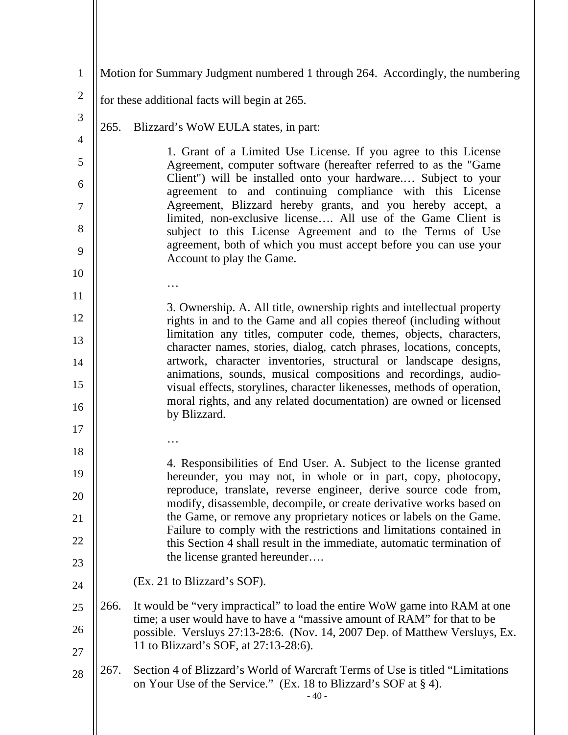| $\mathbf{1}$   | Motion for Summary Judgment numbered 1 through 264. Accordingly, the numbering |                                                                                                                                                                |  |
|----------------|--------------------------------------------------------------------------------|----------------------------------------------------------------------------------------------------------------------------------------------------------------|--|
| $\mathbf{2}$   | for these additional facts will begin at 265.                                  |                                                                                                                                                                |  |
| 3              | 265.                                                                           | Blizzard's WoW EULA states, in part:                                                                                                                           |  |
| $\overline{4}$ |                                                                                |                                                                                                                                                                |  |
| 5              |                                                                                | 1. Grant of a Limited Use License. If you agree to this License<br>Agreement, computer software (hereafter referred to as the "Game                            |  |
| 6              |                                                                                | Client") will be installed onto your hardware Subject to your<br>agreement to and continuing compliance with this License                                      |  |
| 7              |                                                                                | Agreement, Blizzard hereby grants, and you hereby accept, a<br>limited, non-exclusive license All use of the Game Client is                                    |  |
| 8<br>9         |                                                                                | subject to this License Agreement and to the Terms of Use<br>agreement, both of which you must accept before you can use your                                  |  |
| 10             |                                                                                | Account to play the Game.                                                                                                                                      |  |
|                |                                                                                |                                                                                                                                                                |  |
| 11             |                                                                                | 3. Ownership. A. All title, ownership rights and intellectual property                                                                                         |  |
| 12             |                                                                                | rights in and to the Game and all copies thereof (including without<br>limitation any titles, computer code, themes, objects, characters,                      |  |
| 13             |                                                                                | character names, stories, dialog, catch phrases, locations, concepts,                                                                                          |  |
| 14<br>15       |                                                                                | artwork, character inventories, structural or landscape designs,<br>animations, sounds, musical compositions and recordings, audio-                            |  |
| 16             |                                                                                | visual effects, storylines, character likenesses, methods of operation,<br>moral rights, and any related documentation) are owned or licensed<br>by Blizzard.  |  |
| 17             |                                                                                |                                                                                                                                                                |  |
| 18             |                                                                                |                                                                                                                                                                |  |
| 19             |                                                                                | 4. Responsibilities of End User. A. Subject to the license granted<br>hereunder, you may not, in whole or in part, copy, photocopy,                            |  |
| 20             |                                                                                | reproduce, translate, reverse engineer, derive source code from,<br>modify, disassemble, decompile, or create derivative works based on                        |  |
| 21             |                                                                                | the Game, or remove any proprietary notices or labels on the Game.                                                                                             |  |
| 22             |                                                                                | Failure to comply with the restrictions and limitations contained in<br>this Section 4 shall result in the immediate, automatic termination of                 |  |
| 23             |                                                                                | the license granted hereunder                                                                                                                                  |  |
| 24             |                                                                                | (Ex. 21 to Blizzard's SOF).                                                                                                                                    |  |
| 25             | 266.                                                                           | It would be "very impractical" to load the entire WoW game into RAM at one<br>time; a user would have to have a "massive amount of RAM" for that to be         |  |
| 26             |                                                                                | possible. Versluys 27:13-28:6. (Nov. 14, 2007 Dep. of Matthew Versluys, Ex.                                                                                    |  |
| 27             |                                                                                | 11 to Blizzard's SOF, at 27:13-28:6).                                                                                                                          |  |
| 28             | 267.                                                                           | Section 4 of Blizzard's World of Warcraft Terms of Use is titled "Limitations"<br>on Your Use of the Service." (Ex. 18 to Blizzard's SOF at $\S$ 4).<br>$-40-$ |  |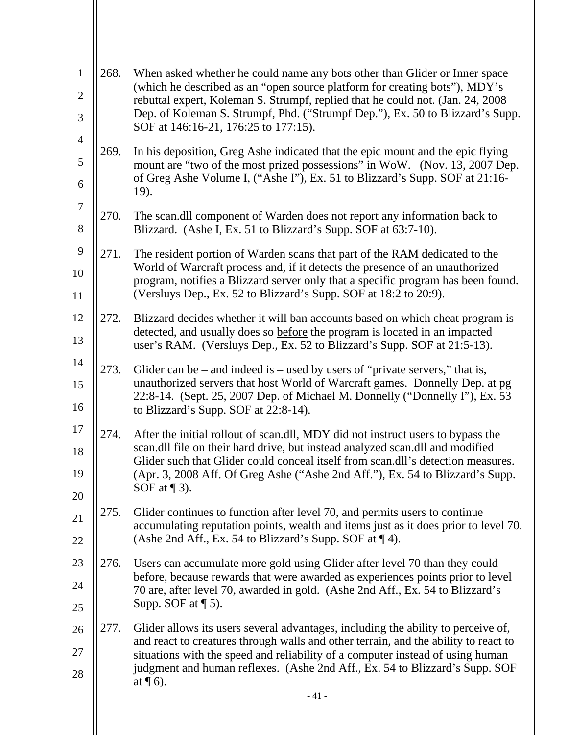| $\mathbf{1}$          | 268. | When asked whether he could name any bots other than Glider or Inner space<br>(which he described as an "open source platform for creating bots"), MDY's              |
|-----------------------|------|-----------------------------------------------------------------------------------------------------------------------------------------------------------------------|
| $\mathbf{2}$          |      | rebuttal expert, Koleman S. Strumpf, replied that he could not. (Jan. 24, 2008)                                                                                       |
| 3                     |      | Dep. of Koleman S. Strumpf, Phd. ("Strumpf Dep."), Ex. 50 to Blizzard's Supp.<br>SOF at 146:16-21, 176:25 to 177:15).                                                 |
| $\overline{4}$        | 269. | In his deposition, Greg Ashe indicated that the epic mount and the epic flying                                                                                        |
| 5                     |      | mount are "two of the most prized possessions" in WoW. (Nov. 13, 2007 Dep.<br>of Greg Ashe Volume I, ("Ashe I"), Ex. 51 to Blizzard's Supp. SOF at 21:16-             |
| 6<br>$\boldsymbol{7}$ |      | 19).                                                                                                                                                                  |
|                       | 270. | The scan.dll component of Warden does not report any information back to                                                                                              |
| 8                     |      | Blizzard. (Ashe I, Ex. 51 to Blizzard's Supp. SOF at 63:7-10).                                                                                                        |
| 9                     | 271. | The resident portion of Warden scans that part of the RAM dedicated to the                                                                                            |
| 10                    |      | World of Warcraft process and, if it detects the presence of an unauthorized<br>program, notifies a Blizzard server only that a specific program has been found.      |
| 11                    |      | (Versluys Dep., Ex. 52 to Blizzard's Supp. SOF at 18:2 to 20:9).                                                                                                      |
| 12                    | 272. | Blizzard decides whether it will ban accounts based on which cheat program is                                                                                         |
| 13                    |      | detected, and usually does so before the program is located in an impacted<br>user's RAM. (Versluys Dep., Ex. 52 to Blizzard's Supp. SOF at 21:5-13).                 |
| 14                    | 273. | Glider can be $-$ and indeed is $-$ used by users of "private servers," that is,                                                                                      |
| 15                    |      | unauthorized servers that host World of Warcraft games. Donnelly Dep. at pg                                                                                           |
| 16                    |      | 22:8-14. (Sept. 25, 2007 Dep. of Michael M. Donnelly ("Donnelly I"), Ex. 53<br>to Blizzard's Supp. SOF at 22:8-14).                                                   |
| 17                    | 274. | After the initial rollout of scan.dll, MDY did not instruct users to bypass the                                                                                       |
| 18                    |      | scan.dll file on their hard drive, but instead analyzed scan.dll and modified<br>Glider such that Glider could conceal itself from scan.dll's detection measures.     |
| 19                    |      | (Apr. 3, 2008 Aff. Of Greg Ashe ("Ashe 2nd Aff."), Ex. 54 to Blizzard's Supp.                                                                                         |
| 20                    |      | SOF at $\P$ 3).                                                                                                                                                       |
| 21                    | 275. | Glider continues to function after level 70, and permits users to continue<br>accumulating reputation points, wealth and items just as it does prior to level 70.     |
| 22                    |      | (Ashe 2nd Aff., Ex. 54 to Blizzard's Supp. SOF at 1.4).                                                                                                               |
| 23                    | 276. | Users can accumulate more gold using Glider after level 70 than they could                                                                                            |
| 24                    |      | before, because rewards that were awarded as experiences points prior to level<br>70 are, after level 70, awarded in gold. (Ashe 2nd Aff., Ex. 54 to Blizzard's       |
| 25                    |      | Supp. SOF at $\P$ 5).                                                                                                                                                 |
| 26                    | 277. | Glider allows its users several advantages, including the ability to perceive of,                                                                                     |
| 27                    |      | and react to creatures through walls and other terrain, and the ability to react to<br>situations with the speed and reliability of a computer instead of using human |
| 28                    |      | judgment and human reflexes. (Ashe 2nd Aff., Ex. 54 to Blizzard's Supp. SOF<br>at $\P$ 6).                                                                            |
|                       |      | $-41-$                                                                                                                                                                |
|                       |      |                                                                                                                                                                       |

 $\parallel$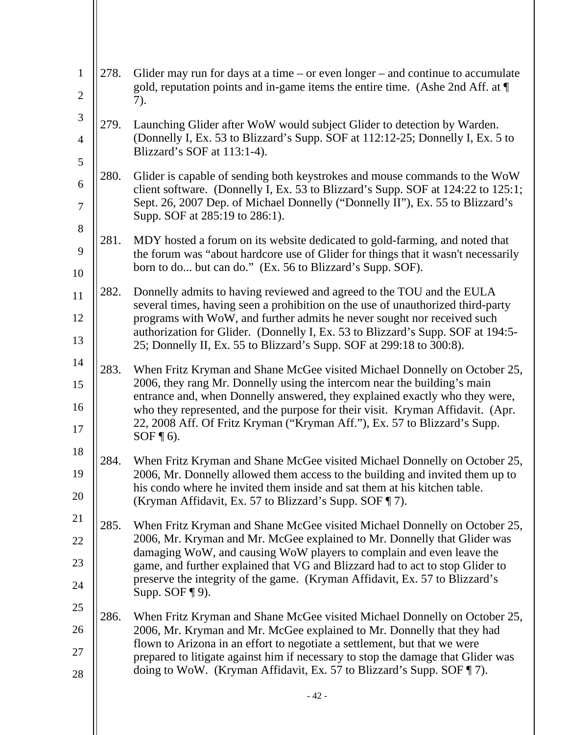| $\mathbf{1}$<br>$\overline{2}$ | 278. | Glider may run for days at a time $-$ or even longer $-$ and continue to accumulate<br>gold, reputation points and in-game items the entire time. (Ashe 2nd Aff. at $\P$ |
|--------------------------------|------|--------------------------------------------------------------------------------------------------------------------------------------------------------------------------|
| 3                              |      | 7).                                                                                                                                                                      |
|                                | 279. | Launching Glider after WoW would subject Glider to detection by Warden.<br>(Donnelly I, Ex. 53 to Blizzard's Supp. SOF at 112:12-25; Donnelly I, Ex. 5 to                |
| $\overline{4}$                 |      | Blizzard's SOF at 113:1-4).                                                                                                                                              |
| 5                              | 280. | Glider is capable of sending both keystrokes and mouse commands to the WoW                                                                                               |
| 6<br>$\boldsymbol{7}$          |      | client software. (Donnelly I, Ex. 53 to Blizzard's Supp. SOF at 124:22 to 125:1;<br>Sept. 26, 2007 Dep. of Michael Donnelly ("Donnelly II"), Ex. 55 to Blizzard's        |
| 8                              |      | Supp. SOF at 285:19 to 286:1).                                                                                                                                           |
| 9                              | 281. | MDY hosted a forum on its website dedicated to gold-farming, and noted that<br>the forum was "about hardcore use of Glider for things that it wasn't necessarily         |
| 10                             |      | born to do but can do." (Ex. 56 to Blizzard's Supp. SOF).                                                                                                                |
| 11                             | 282. | Donnelly admits to having reviewed and agreed to the TOU and the EULA                                                                                                    |
| 12                             |      | several times, having seen a prohibition on the use of unauthorized third-party<br>programs with WoW, and further admits he never sought nor received such               |
| 13                             |      | authorization for Glider. (Donnelly I, Ex. 53 to Blizzard's Supp. SOF at 194:5-<br>25; Donnelly II, Ex. 55 to Blizzard's Supp. SOF at 299:18 to 300:8).                  |
| 14                             | 283. | When Fritz Kryman and Shane McGee visited Michael Donnelly on October 25,                                                                                                |
| 15                             |      | 2006, they rang Mr. Donnelly using the intercom near the building's main<br>entrance and, when Donnelly answered, they explained exactly who they were,                  |
| 16<br>17                       |      | who they represented, and the purpose for their visit. Kryman Affidavit. (Apr.<br>22, 2008 Aff. Of Fritz Kryman ("Kryman Aff."), Ex. 57 to Blizzard's Supp.              |
| 18                             |      | $SOF \P 6$ ).                                                                                                                                                            |
| 19                             | 284. | When Fritz Kryman and Shane McGee visited Michael Donnelly on October 25,<br>2006, Mr. Donnelly allowed them access to the building and invited them up to               |
| 20                             |      | his condo where he invited them inside and sat them at his kitchen table.<br>(Kryman Affidavit, Ex. 57 to Blizzard's Supp. SOF ¶ 7).                                     |
| 21                             | 285. | When Fritz Kryman and Shane McGee visited Michael Donnelly on October 25,                                                                                                |
| 22                             |      | 2006, Mr. Kryman and Mr. McGee explained to Mr. Donnelly that Glider was                                                                                                 |
| 23                             |      | damaging WoW, and causing WoW players to complain and even leave the<br>game, and further explained that VG and Blizzard had to act to stop Glider to                    |
| 24                             |      | preserve the integrity of the game. (Kryman Affidavit, Ex. 57 to Blizzard's<br>Supp. SOF $\P$ 9).                                                                        |
| 25                             |      |                                                                                                                                                                          |
| 26                             | 286. | When Fritz Kryman and Shane McGee visited Michael Donnelly on October 25,<br>2006, Mr. Kryman and Mr. McGee explained to Mr. Donnelly that they had                      |
| 27                             |      | flown to Arizona in an effort to negotiate a settlement, but that we were<br>prepared to litigate against him if necessary to stop the damage that Glider was            |
| 28                             |      | doing to WoW. (Kryman Affidavit, Ex. 57 to Blizzard's Supp. SOF ¶ 7).                                                                                                    |
|                                |      | $-42-$                                                                                                                                                                   |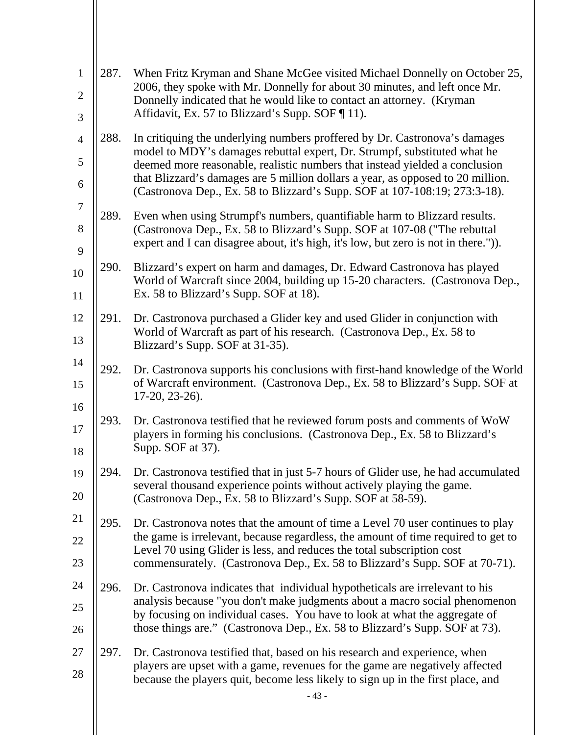| $\mathbf{1}$        | 287. | When Fritz Kryman and Shane McGee visited Michael Donnelly on October 25,<br>2006, they spoke with Mr. Donnelly for about 30 minutes, and left once Mr.                                                                               |
|---------------------|------|---------------------------------------------------------------------------------------------------------------------------------------------------------------------------------------------------------------------------------------|
| $\overline{2}$<br>3 |      | Donnelly indicated that he would like to contact an attorney. (Kryman<br>Affidavit, Ex. 57 to Blizzard's Supp. SOF [11].                                                                                                              |
|                     |      |                                                                                                                                                                                                                                       |
| $\overline{4}$<br>5 | 288. | In critiquing the underlying numbers proffered by Dr. Castronova's damages<br>model to MDY's damages rebuttal expert, Dr. Strumpf, substituted what he<br>deemed more reasonable, realistic numbers that instead yielded a conclusion |
| 6                   |      | that Blizzard's damages are 5 million dollars a year, as opposed to 20 million.<br>(Castronova Dep., Ex. 58 to Blizzard's Supp. SOF at 107-108:19; 273:3-18).                                                                         |
| $\tau$              | 289. | Even when using Strumpf's numbers, quantifiable harm to Blizzard results.                                                                                                                                                             |
| 8<br>9              |      | (Castronova Dep., Ex. 58 to Blizzard's Supp. SOF at 107-08 ("The rebuttal<br>expert and I can disagree about, it's high, it's low, but zero is not in there.")).                                                                      |
|                     | 290. | Blizzard's expert on harm and damages, Dr. Edward Castronova has played                                                                                                                                                               |
| 10<br>11            |      | World of Warcraft since 2004, building up 15-20 characters. (Castronova Dep.,<br>Ex. 58 to Blizzard's Supp. SOF at 18).                                                                                                               |
| 12                  | 291. | Dr. Castronova purchased a Glider key and used Glider in conjunction with                                                                                                                                                             |
| 13                  |      | World of Warcraft as part of his research. (Castronova Dep., Ex. 58 to<br>Blizzard's Supp. SOF at 31-35).                                                                                                                             |
| 14                  | 292. | Dr. Castronova supports his conclusions with first-hand knowledge of the World                                                                                                                                                        |
| 15<br>16            |      | of Warcraft environment. (Castronova Dep., Ex. 58 to Blizzard's Supp. SOF at<br>$17-20, 23-26$ .                                                                                                                                      |
|                     | 293. | Dr. Castronova testified that he reviewed forum posts and comments of WoW                                                                                                                                                             |
| 17<br>18            |      | players in forming his conclusions. (Castronova Dep., Ex. 58 to Blizzard's<br>Supp. SOF at 37).                                                                                                                                       |
| 19                  | 294. | Dr. Castronova testified that in just 5-7 hours of Glider use, he had accumulated                                                                                                                                                     |
| 20                  |      | several thousand experience points without actively playing the game.<br>(Castronova Dep., Ex. 58 to Blizzard's Supp. SOF at 58-59).                                                                                                  |
| 21                  | 295. | Dr. Castronova notes that the amount of time a Level 70 user continues to play                                                                                                                                                        |
| 22                  |      | the game is irrelevant, because regardless, the amount of time required to get to<br>Level 70 using Glider is less, and reduces the total subscription cost                                                                           |
| 23                  |      | commensurately. (Castronova Dep., Ex. 58 to Blizzard's Supp. SOF at 70-71).                                                                                                                                                           |
| 24                  | 296. | Dr. Castronova indicates that individual hypotheticals are irrelevant to his                                                                                                                                                          |
| 25                  |      | analysis because "you don't make judgments about a macro social phenomenon<br>by focusing on individual cases. You have to look at what the aggregate of                                                                              |
| 26                  |      | those things are." (Castronova Dep., Ex. 58 to Blizzard's Supp. SOF at 73).                                                                                                                                                           |
| 27                  | 297. | Dr. Castronova testified that, based on his research and experience, when                                                                                                                                                             |
| 28                  |      | players are upset with a game, revenues for the game are negatively affected<br>because the players quit, become less likely to sign up in the first place, and                                                                       |
|                     |      | $-43-$                                                                                                                                                                                                                                |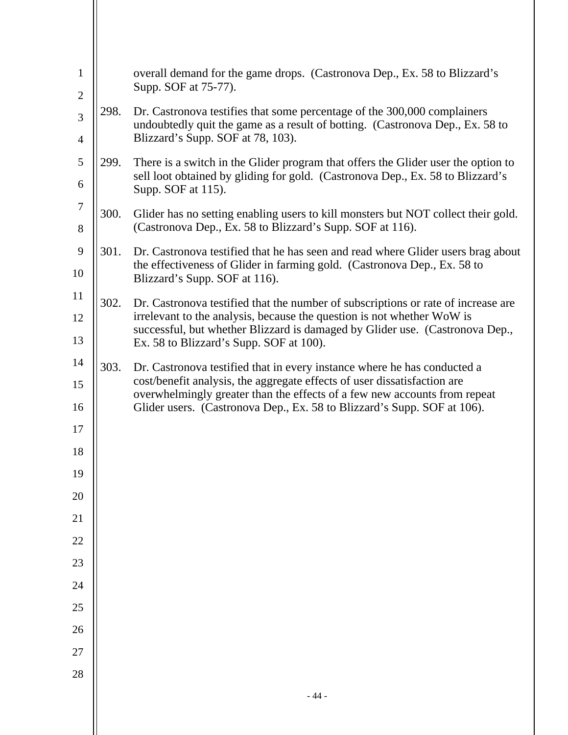| $\mathbf{1}$<br>$\mathfrak{2}$ |      | overall demand for the game drops. (Castronova Dep., Ex. 58 to Blizzard's<br>Supp. SOF at 75-77).                                                                                         |
|--------------------------------|------|-------------------------------------------------------------------------------------------------------------------------------------------------------------------------------------------|
| 3                              | 298. | Dr. Castronova testifies that some percentage of the 300,000 complainers<br>undoubtedly quit the game as a result of botting. (Castronova Dep., Ex. 58 to                                 |
| $\overline{4}$                 |      | Blizzard's Supp. SOF at 78, 103).                                                                                                                                                         |
| 5<br>6                         | 299. | There is a switch in the Glider program that offers the Glider user the option to<br>sell loot obtained by gliding for gold. (Castronova Dep., Ex. 58 to Blizzard's<br>Supp. SOF at 115). |
| $\tau$<br>8                    | 300. | Glider has no setting enabling users to kill monsters but NOT collect their gold.<br>(Castronova Dep., Ex. 58 to Blizzard's Supp. SOF at 116).                                            |
| 9<br>10                        | 301. | Dr. Castronova testified that he has seen and read where Glider users brag about<br>the effectiveness of Glider in farming gold. (Castronova Dep., Ex. 58 to                              |
| 11                             |      | Blizzard's Supp. SOF at 116).                                                                                                                                                             |
| 12                             | 302. | Dr. Castronova testified that the number of subscriptions or rate of increase are<br>irrelevant to the analysis, because the question is not whether WoW is                               |
| 13                             |      | successful, but whether Blizzard is damaged by Glider use. (Castronova Dep.,<br>Ex. 58 to Blizzard's Supp. SOF at 100).                                                                   |
| 14                             | 303. | Dr. Castronova testified that in every instance where he has conducted a                                                                                                                  |
| 15<br>16                       |      | cost/benefit analysis, the aggregate effects of user dissatisfaction are<br>overwhelmingly greater than the effects of a few new accounts from repeat                                     |
| 17                             |      | Glider users. (Castronova Dep., Ex. 58 to Blizzard's Supp. SOF at 106).                                                                                                                   |
| 18                             |      |                                                                                                                                                                                           |
| 19                             |      |                                                                                                                                                                                           |
| 20                             |      |                                                                                                                                                                                           |
| 21                             |      |                                                                                                                                                                                           |
| 22                             |      |                                                                                                                                                                                           |
| 23                             |      |                                                                                                                                                                                           |
| 24                             |      |                                                                                                                                                                                           |
| $25\,$                         |      |                                                                                                                                                                                           |
| 26                             |      |                                                                                                                                                                                           |
| 27                             |      |                                                                                                                                                                                           |
| 28                             |      | $-44-$                                                                                                                                                                                    |
|                                |      |                                                                                                                                                                                           |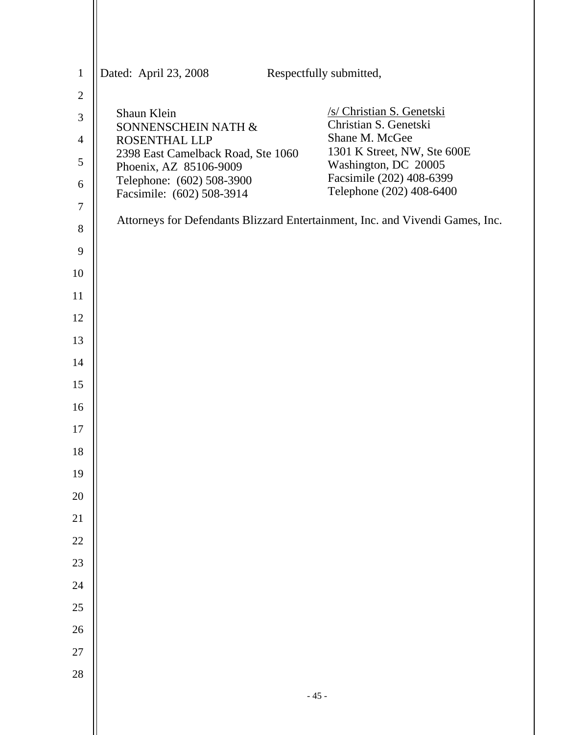| $\mathbf{1}$   | Dated: April 23, 2008                                        | Respectfully submitted,                                                       |
|----------------|--------------------------------------------------------------|-------------------------------------------------------------------------------|
| $\overline{c}$ |                                                              |                                                                               |
| $\mathfrak{Z}$ | Shaun Klein                                                  | /s/ Christian S. Genetski                                                     |
| $\overline{4}$ | SONNENSCHEIN NATH &<br>ROSENTHAL LLP                         | Christian S. Genetski<br>Shane M. McGee                                       |
| $\mathfrak s$  | 2398 East Camelback Road, Ste 1060<br>Phoenix, AZ 85106-9009 | 1301 K Street, NW, Ste 600E<br>Washington, DC 20005                           |
| 6              | Telephone: (602) 508-3900                                    | Facsimile (202) 408-6399                                                      |
| 7              | Facsimile: (602) 508-3914                                    | Telephone (202) 408-6400                                                      |
| 8              |                                                              | Attorneys for Defendants Blizzard Entertainment, Inc. and Vivendi Games, Inc. |
| 9              |                                                              |                                                                               |
| 10             |                                                              |                                                                               |
| 11             |                                                              |                                                                               |
| 12             |                                                              |                                                                               |
| 13             |                                                              |                                                                               |
| 14             |                                                              |                                                                               |
| 15             |                                                              |                                                                               |
| 16             |                                                              |                                                                               |
| 17             |                                                              |                                                                               |
| 18             |                                                              |                                                                               |
| 19             |                                                              |                                                                               |
| 20<br>21       |                                                              |                                                                               |
| $22\,$         |                                                              |                                                                               |
| 23             |                                                              |                                                                               |
| 24             |                                                              |                                                                               |
| $25\,$         |                                                              |                                                                               |
| 26             |                                                              |                                                                               |
| 27             |                                                              |                                                                               |
| 28             |                                                              |                                                                               |
|                |                                                              | $-45-$                                                                        |